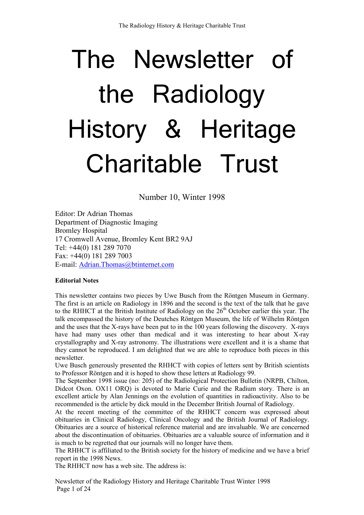# The Newsletter of the Radiology History & Heritage Charitable Trust

Number 10, Winter 1998

Editor: Dr Adrian Thomas Department of Diagnostic Imaging Bromley Hospital 17 Cromwell Avenue, Bromley Kent BR2 9AJ Tel: +44(0) 181 289 7070 Fax: +44(0) 181 289 7003 E-mail: Adrian.Thomas@btinternet.com

### **Editorial Notes**

This newsletter contains two pieces by Uwe Busch from the Röntgen Museum in Germany. The first is an article on Radiology in 1896 and the second is the text of the talk that he gave to the RHHCT at the British Institute of Radiology on the  $26<sup>th</sup>$  October earlier this year. The talk encompassed the history of the Deutches Röntgen Museum, the life of Wilhelm Röntgen and the uses that the X-rays have been put to in the 100 years following the discovery. X-rays have had many uses other than medical and it was interesting to hear about X-ray crystallography and X-ray astronomy. The illustrations were excellent and it is a shame that they cannot be reproduced. I am delighted that we are able to reproduce both pieces in this newsletter.

Uwe Busch generously presented the RHHCT with copies of letters sent by British scientists to Professor Röntgen and it is hoped to show these letters at Radiology 99.

The September 1998 issue (no: 205) of the Radiological Protection Bulletin (NRPB, Chilton, Didcot Oxon. OX11 ORQ) is devoted to Marie Curie and the Radium story. There is an excellent article by Alan Jennings on the evolution of quantities in radioactivity. Also to be recommended is the article by dick mould in the December British Journal of Radiology.

At the recent meeting of the committee of the RHHCT concern was expressed about obituaries in Clinical Radiology, Clinical Oncology and the British Journal of Radiology. Obituaries are a source of historical reference material and are invaluable. We are concerned about the discontinuation of obituaries. Obituaries are a valuable source of information and it is much to be regretted that our journals will no longer have them.

The RHHCT is affiliated to the British society for the history of medicine and we have a brief report in the 1998 News.

The RHHCT now has a web site. The address is:

Newsletter of the Radiology History and Heritage Charitable Trust Winter 1998 Page 1 of 24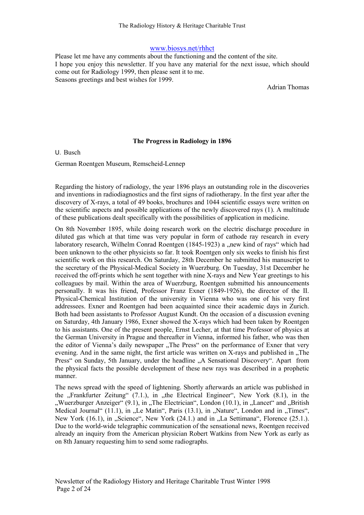#### www.biosys.net/rhhct

Please let me have any comments about the functioning and the content of the site. I hope you enjoy this newsletter. If you have any material for the next issue, which should come out for Radiology 1999, then please sent it to me. Seasons greetings and best wishes for 1999.

Adrian Thomas

#### The Progress in Radiology in 1896

U. Busch

German Roentgen Museum, Remscheid-Lennep

Regarding the history of radiology, the year 1896 plays an outstanding role in the discoveries and inventions in radiodiagnostics and the first signs of radiotherapy. In the first year after the discovery of X-rays, a total of 49 books, brochures and 1044 scientific essays were written on the scientific aspects and possible applications of the newly discovered rays (1). A multitude of these publications dealt specifically with the possibilities of application in medicine.

On 8th November 1895, while doing research work on the electric discharge procedure in diluted gas which at that time was very popular in form of cathode ray research in every laboratory research, Wilhelm Conrad Roentgen (1845-1923) a "new kind of rays" which had been unknown to the other physicists so far. It took Roentgen only six weeks to finish his first scientific work on this research. On Saturday, 28th December he submitted his manuscript to the secretary of the Physical-Medical Society in Wuerzburg. On Tuesday, 31st December he received the off-prints which he sent together with nine X-rays and New Year greetings to his colleagues by mail. Within the area of Wuerzburg, Roentgen submitted his announcements personally. It was his friend, Professor Franz Exner (1849-1926), the director of the II. Physical-Chemical Institution of the university in Vienna who was one of his very first addressees. Exner and Roentgen had been acquainted since their academic days in Zurich. Both had been assistants to Professor August Kundt. On the occasion of a discussion evening on Saturday, 4th January 1986, Exner showed the X-rays which had been taken by Roentgen to his assistants. One of the present people, Ernst Lecher, at that time Professor of physics at the German University in Prague and thereafter in Vienna, informed his father, who was then the editor of Vienna's daily newspaper "The Press" on the performance of Exner that very evening. And in the same night, the first article was written on  $X$ -rays and published in  $\Pi$ . The Press" on Sunday, 5th January, under the headline "A Sensational Discovery". Apart from the physical facts the possible development of these new rays was described in a prophetic manner.

The news spread with the speed of lightening. Shortly afterwards an article was published in the "Frankfurter Zeitung"  $(7.1)$ , in "the Electrical Engineer", New York  $(8.1)$ , in the ", Wuerzburger Anzeiger" (9.1), in "The Electrician", London (10.1), in "Lancet" and "British" Medical Journal"  $(11.1)$ , in "Le Matin", Paris  $(13.1)$ , in "Nature", London and in "Times", New York  $(16.1)$ , in "Science", New York  $(24.1)$  and in "La Settimana", Florence  $(25.1)$ . Due to the world-wide telegraphic communication of the sensational news, Roentgen received already an inquiry from the American physician Robert Watkins from New York as early as on 8th January requesting him to send some radiographs.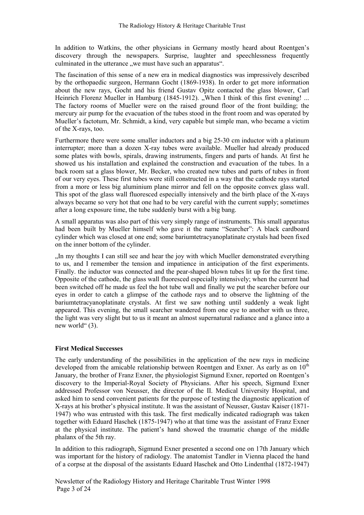In addition to Watkins, the other physicians in Germany mostly heard about Roentgen's discovery through the newspapers. Surprise, laughter and speechlessness frequently culminated in the utterance , we must have such an apparatus".

The fascination of this sense of a new era in medical diagnostics was impressively described by the orthopaedic surgeon, Hermann Gocht (1869-1938). In order to get more information about the new rays, Gocht and his friend Gustav Opitz contacted the glass blower, Carl Heinrich Florenz Mueller in Hamburg (1845-1912). "When I think of this first evening! ... The factory rooms of Mueller were on the raised ground floor of the front building; the mercury air pump for the evacuation of the tubes stood in the front room and was operated by Mueller's factotum, Mr. Schmidt, a kind, very capable but simple man, who became a victim of the X-rays, too.

Furthermore there were some smaller inductors and a big 25-30 cm inductor with a platinum interrupter; more than a dozen X-ray tubes were available. Mueller had already produced some plates with bowls, spirals, drawing instruments, fingers and parts of hands. At first he showed us his installation and explained the construction and evacuation of the tubes. In a back room sat a glass blower, Mr. Becker, who created new tubes and parts of tubes in front of our very eyes. These first tubes were still constructed in a way that the cathode rays started from a more or less big aluminium plane mirror and fell on the opposite convex glass wall. This spot of the glass wall fluoresced especially intensively and the birth place of the X-rays always became so very hot that one had to be very careful with the current supply; sometimes after a long exposure time, the tube suddenly burst with a big bang.

A small apparatus was also part of this very simply range of instruments. This small apparatus had been built by Mueller himself who gave it the name "Searcher": A black cardboard cylinder which was closed at one end; some bariumtetracyanoplatinate crystals had been fixed on the inner bottom of the cylinder.

"In my thoughts I can still see and hear the joy with which Mueller demonstrated everything to us, and I remember the tension and impatience in anticipation of the first experiments. Finally. the inductor was connected and the pear-shaped blown tubes lit up for the first time. Opposite of the cathode, the glass wall fluoresced especially intensively; when the current had been switched off he made us feel the hot tube wall and finally we put the searcher before our eyes in order to catch a glimpse of the cathode rays and to observe the lightning of the bariumtetracyanoplatinate crystals. At first we saw nothing until suddenly a weak light appeared. This evening, the small searcher wandered from one eye to another with us three, the light was very slight but to us it meant an almost supernatural radiance and a glance into a new world" (3).

#### First Medical Successes

The early understanding of the possibilities in the application of the new rays in medicine developed from the amicable relationship between Roentgen and Exner. As early as on  $10<sup>th</sup>$ January, the brother of Franz Exner, the physiologist Sigmund Exner, reported on Roentgen's discovery to the Imperial-Royal Society of Physicians. After his speech, Sigmund Exner addressed Professor von Neusser, the director of the II. Medical University Hospital, and asked him to send convenient patients for the purpose of testing the diagnostic application of X-rays at his brother's physical institute. It was the assistant of Neusser, Gustav Kaiser (1871- 1947) who was entrusted with this task. The first medically indicated radiograph was taken together with Eduard Haschek (1875-1947) who at that time was the assistant of Franz Exner at the physical institute. The patient's hand showed the traumatic change of the middle phalanx of the 5th ray.

In addition to this radiograph, Sigmund Exner presented a second one on 17th January which was important for the history of radiology. The anatomist Tandler in Vienna placed the hand of a corpse at the disposal of the assistants Eduard Haschek and Otto Lindenthal (1872-1947)

Newsletter of the Radiology History and Heritage Charitable Trust Winter 1998 Page 3 of 24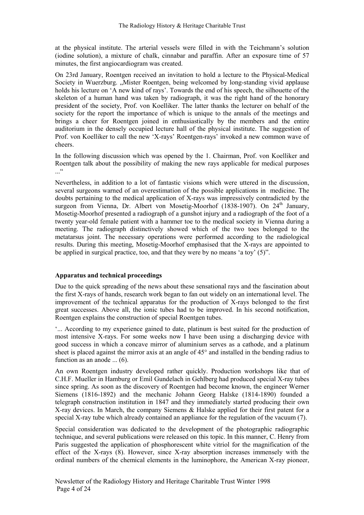at the physical institute. The arterial vessels were filled in with the Teichmann's solution (iodine solution), a mixture of chalk, cinnabar and paraffin. After an exposure time of 57 minutes, the first angiocardiogram was created.

On 23rd January, Roentgen received an invitation to hold a lecture to the Physical-Medical Society in Wuerzburg. "Mister Roentgen, being welcomed by long-standing vivid applause holds his lecture on 'A new kind of rays'. Towards the end of his speech, the silhouette of the skeleton of a human hand was taken by radiograph, it was the right hand of the honorary president of the society, Prof. von Koelliker. The latter thanks the lecturer on behalf of the society for the report the importance of which is unique to the annals of the meetings and brings a cheer for Roentgen joined in enthusiastically by the members and the entire auditorium in the densely occupied lecture hall of the physical institute. The suggestion of Prof. von Koelliker to call the new 'X-rays' Roentgen-rays' invoked a new common wave of cheers.

In the following discussion which was opened by the 1. Chairman, Prof. von Koelliker and Roentgen talk about the possibility of making the new rays applicable for medical purposes ...<sup>..</sup>

Nevertheless, in addition to a lot of fantastic visions which were uttered in the discussion, several surgeons warned of an overestimation of the possible applications in medicine. The doubts pertaining to the medical application of X-rays was impressively contradicted by the surgeon from Vienna, Dr. Albert von Mosetig-Moorhof  $(1838-1907)$ . On  $24<sup>th</sup>$  January, Mosetig-Moorhof presented a radiograph of a gunshot injury and a radiograph of the foot of a twenty year-old female patient with a hammer toe to the medical society in Vienna during a meeting. The radiograph distinctively showed which of the two toes belonged to the metatarsus joint. The necessary operations were performed according to the radiological results. During this meeting, Mosetig-Moorhof emphasised that the X-rays are appointed to be applied in surgical practice, too, and that they were by no means 'a toy' (5)".

#### Apparatus and technical proceedings

Due to the quick spreading of the news about these sensational rays and the fascination about the first X-rays of hands, research work began to fan out widely on an international level. The improvement of the technical apparatus for the production of X-rays belonged to the first great successes. Above all, the ionic tubes had to be improved. In his second notification, Roentgen explains the construction of special Roentgen tubes.

'... According to my experience gained to date, platinum is best suited for the production of most intensive X-rays. For some weeks now I have been using a discharging device with good success in which a concave mirror of aluminium serves as a cathode, and a platinum sheet is placed against the mirror axis at an angle of 45° and installed in the bending radius to function as an anode ... (6).

An own Roentgen industry developed rather quickly. Production workshops like that of C.H.F. Mueller in Hamburg or Emil Gundelach in Gehlberg had produced special X-ray tubes since spring. As soon as the discovery of Roentgen had become known, the engineer Werner Siemens (1816-1892) and the mechanic Johann Georg Halske (1814-1890) founded a telegraph construction institution in 1847 and they immediately started producing their own X-ray devices. In March, the company Siemens & Halske applied for their first patent for a special X-ray tube which already contained an appliance for the regulation of the vacuum (7).

Special consideration was dedicated to the development of the photographic radiographic technique, and several publications were released on this topic. In this manner, C. Henry from Paris suggested the application of phosphorescent white vitriol for the magnification of the effect of the X-rays (8). However, since X-ray absorption increases immensely with the ordinal numbers of the chemical elements in the luminophore, the American X-ray pioneer,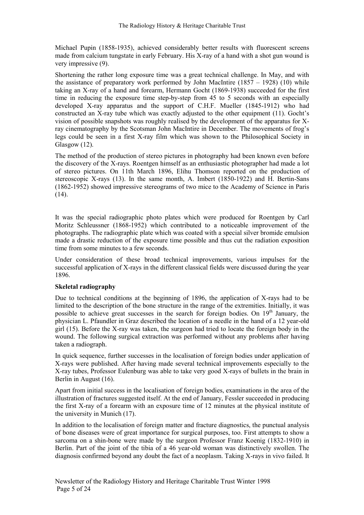Michael Pupin (1858-1935), achieved considerably better results with fluorescent screens made from calcium tungstate in early February. His X-ray of a hand with a shot gun wound is very impressive (9).

Shortening the rather long exposure time was a great technical challenge. In May, and with the assistance of preparatory work performed by John MacIntire  $(1857 - 1928)$  (10) while taking an X-ray of a hand and forearm, Hermann Gocht (1869-1938) succeeded for the first time in reducing the exposure time step-by-step from 45 to 5 seconds with an especially developed X-ray apparatus and the support of C.H.F. Mueller (1845-1912) who had constructed an X-ray tube which was exactly adjusted to the other equipment (11). Gocht's vision of possible snapshots was roughly realised by the development of the apparatus for Xray cinematography by the Scotsman John MacIntire in December. The movements of frog's legs could be seen in a first X-ray film which was shown to the Philosophical Society in Glasgow (12).

The method of the production of stereo pictures in photography had been known even before the discovery of the X-rays. Roentgen himself as an enthusiastic photographer had made a lot of stereo pictures. On 11th March 1896, Elihu Thomson reported on the production of stereoscopic X-rays (13). In the same month, A. Imbert (1850-1922) and H. Bertin-Sans (1862-1952) showed impressive stereograms of two mice to the Academy of Science in Paris  $(14)$ .

It was the special radiographic photo plates which were produced for Roentgen by Carl Moritz Schleussner (1868-1952) which contributed to a noticeable improvement of the photographs. The radiographic plate which was coated with a special silver bromide emulsion made a drastic reduction of the exposure time possible and thus cut the radiation exposition time from some minutes to a few seconds.

Under consideration of these broad technical improvements, various impulses for the successful application of X-rays in the different classical fields were discussed during the year 1896.

#### Skeletal radiography

Due to technical conditions at the beginning of 1896, the application of X-rays had to be limited to the description of the bone structure in the range of the extremities. Initially, it was possible to achieve great successes in the search for foreign bodies. On  $19<sup>th</sup>$  January, the physician L. Pfaundler in Graz described the location of a needle in the hand of a 12 year-old girl (15). Before the X-ray was taken, the surgeon had tried to locate the foreign body in the wound. The following surgical extraction was performed without any problems after having taken a radiograph.

In quick sequence, further successes in the localisation of foreign bodies under application of X-rays were published. After having made several technical improvements especially to the X-ray tubes, Professor Eulenburg was able to take very good X-rays of bullets in the brain in Berlin in August (16).

Apart from initial success in the localisation of foreign bodies, examinations in the area of the illustration of fractures suggested itself. At the end of January, Fessler succeeded in producing the first X-ray of a forearm with an exposure time of 12 minutes at the physical institute of the university in Munich (17).

In addition to the localisation of foreign matter and fracture diagnostics, the punctual analysis of bone diseases were of great importance for surgical purposes, too. First attempts to show a sarcoma on a shin-bone were made by the surgeon Professor Franz Koenig (1832-1910) in Berlin. Part of the joint of the tibia of a 46 year-old woman was distinctively swollen. The diagnosis confirmed beyond any doubt the fact of a neoplasm. Taking X-rays in vivo failed. It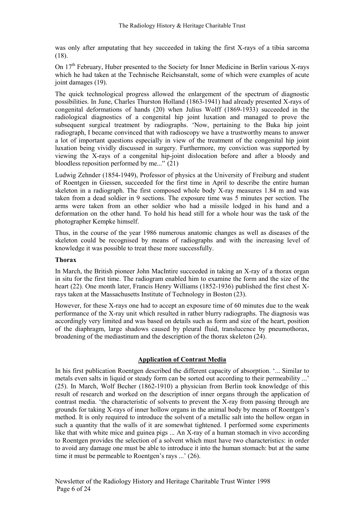was only after amputating that hey succeeded in taking the first X-rays of a tibia sarcoma (18).

On  $17<sup>th</sup>$  February, Huber presented to the Society for Inner Medicine in Berlin various X-rays which he had taken at the Technische Reichsanstalt, some of which were examples of acute joint damages (19).

The quick technological progress allowed the enlargement of the spectrum of diagnostic possibilities. In June, Charles Thurston Holland (1863-1941) had already presented X-rays of congenital deformations of hands (20) when Julius Wolff (1869-1933) succeeded in the radiological diagnostics of a congenital hip joint luxation and managed to prove the subsequent surgical treatment by radiographs. 'Now, pertaining to the Buka hip joint radiograph, I became convinced that with radioscopy we have a trustworthy means to answer a lot of important questions especially in view of the treatment of the congenital hip joint luxation being vividly discussed in surgery. Furthermore, my conviction was supported by viewing the X-rays of a congenital hip-joint dislocation before and after a bloody and bloodless reposition performed by me...'' (21)

Ludwig Zehnder (1854-1949), Professor of physics at the University of Freiburg and student of Roentgen in Giessen, succeeded for the first time in April to describe the entire human skeleton in a radiograph. The first composed whole body X-ray measures 1.84 m and was taken from a dead soldier in 9 sections. The exposure time was 5 minutes per section. The arms were taken from an other soldier who had a missile lodged in his hand and a deformation on the other hand. To hold his head still for a whole hour was the task of the photographer Kempke himself.

Thus, in the course of the year 1986 numerous anatomic changes as well as diseases of the skeleton could be recognised by means of radiographs and with the increasing level of knowledge it was possible to treat these more successfully.

#### Thorax

In March, the British pioneer John MacIntire succeeded in taking an X-ray of a thorax organ in situ for the first time. The radiogram enabled him to examine the form and the size of the heart (22). One month later, Francis Henry Williams (1852-1936) published the first chest Xrays taken at the Massachusetts Institute of Technology in Boston (23).

However, for these X-rays one had to accept an exposure time of 60 minutes due to the weak performance of the X-ray unit which resulted in rather blurry radiographs. The diagnosis was accordingly very limited and was based on details such as form and size of the heart, position of the diaphragm, large shadows caused by pleural fluid, translucence by pneumothorax, broadening of the mediastinum and the description of the thorax skeleton (24).

#### Application of Contrast Media

In his first publication Roentgen described the different capacity of absorption. '... Similar to metals even salts in liquid or steady form can be sorted out according to their permeability ...' (25). In March, Wolf Becher (1862-1910) a physician from Berlin took knowledge of this result of research and worked on the description of inner organs through the application of contrast media. 'the characteristic of solvents to prevent the X-ray from passing through are grounds for taking X-rays of inner hollow organs in the animal body by means of Roentgen's method. It is only required to introduce the solvent of a metallic salt into the hollow organ in such a quantity that the walls of it are somewhat tightened. I performed some experiments like that with white mice and guinea pigs ... An X-ray of a human stomach in vivo according to Roentgen provides the selection of a solvent which must have two characteristics: in order to avoid any damage one must be able to introduce it into the human stomach: but at the same time it must be permeable to Roentgen's rays ...' (26).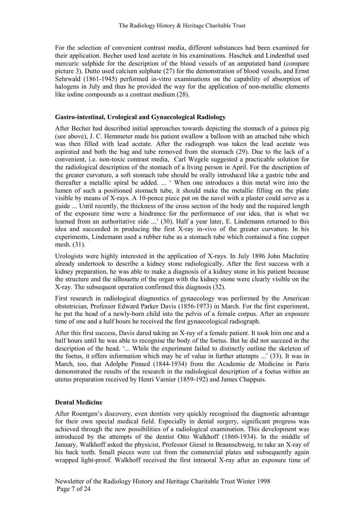For the selection of convenient contrast media, different substances had been examined for their application. Becher used lead acetate in his examinations. Haschek and Lindenthal used mercuric sulphide for the description of the blood vessels of an amputated hand (compare picture 3). Dutto used calcium sulphate (27) for the demonstration of blood vessels, and Ernst Sehrwald (1861-1945) performed in-vitro examinations on the capability of absorption of halogens in July and thus he provided the way for the application of non-metallic elements like iodine compounds as a contrast medium (28).

#### Gastro-intestinal, Urological and Gynaecological Radiology

After Becher had described initial approaches towards depicting the stomach of a guinea pig (see above), J. C. Hemmeter made his patient swallow a balloon with an attached tube which was then filled with lead acetate. After the radiograph was taken the lead acetate was aspirated and both the bag and tube removed from the stomach (29). Due to the lack of a convenient, i.e. non-toxic contrast media, Carl Wegele suggested a practicable solution for the radiological description of the stomach of a living person in April. For the description of the greater curvature, a soft stomach tube should be orally introduced like a gastric tube and thereafter a metallic spiral be added. ... ' When one introduces a thin metal wire into the lumen of such a positioned stomach tube, it should make the metallic filling on the plate visible by means of X-rays. A 10-pence piece put on the navel with a plaster could serve as a guide ... Until recently, the thickness of the cross section of the body and the required length of the exposure time were a hindrance for the performance of our idea, that is what we learned from an authoritative side ...' (30). Half a year later, E. Lindemann returned to this idea and succeeded in producing the first X-ray in-vivo of the greater curvature. In his experiments, Lindemann used a rubber tube as a stomach tube which contained a fine copper mesh. (31).

Urologists were highly interested in the application of X-rays. In July 1896 John MacIntire already undertook to describe a kidney stone radiologically. After the first success with a kidney preparation, he was able to make a diagnosis of a kidney stone in his patient because the structure and the silhouette of the organ with the kidney stone were clearly visible on the X-ray. The subsequent operation confirmed this diagnosis (32).

First research in radiological diagnostics of gynaecology was performed by the American obstetrician, Professor Edward Parker Davis (1856-1973) in March. For the first experiment, he put the head of a newly-born child into the pelvis of a female corpus. After an exposure time of one and a half hours he received the first gynaecological radiograph.

After this first success, Davis dared taking an X-ray of a female patient. It took him one and a half hours until he was able to recognise the body of the foetus. But he did not succeed in the description of the head. '... While the experiment failed to distinctly outline the skeleton of the foetus, it offers information which may be of value in further attempts ...' (33). It was in March, too, that Adolphe Pinned (1844-1934) from the Academie de Medicine in Paris demonstrated the results of the research in the radiological description of a foetus within an uterus preparation received by Henri Varnier (1859-192) and James Chappuis.

#### Dental Medicine

After Roentgen's discovery, even dentists very quickly recognised the diagnostic advantage for their own special medical field. Especially in dental surgery, significant progress was achieved through the new possibilities of a radiological examination. This development was introduced by the attempts of the dentist Otto Walkhoff (1860-1934). In the middle of January, Walkhoff asked the physicist, Professor Giesel in Braunschweig, to take an X-ray of his back teeth. Small pieces were cut from the commercial plates and subsequently again wrapped light-proof. Walkhoff received the first intraoral X-ray after an exposure time of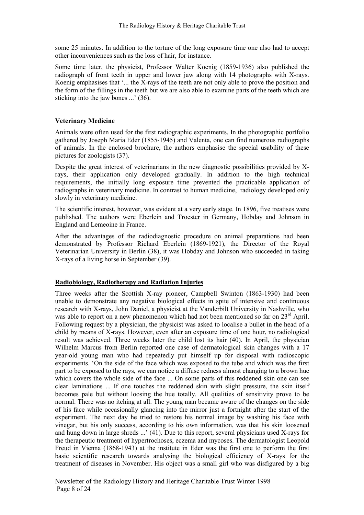some 25 minutes. In addition to the torture of the long exposure time one also had to accept other inconveniences such as the loss of hair, for instance.

Some time later, the physicist, Professor Walter Koenig (1859-1936) also published the radiograph of front teeth in upper and lower jaw along with 14 photographs with X-rays. Koenig emphasises that '... the X-rays of the teeth are not only able to prove the position and the form of the fillings in the teeth but we are also able to examine parts of the teeth which are sticking into the jaw bones ...' (36).

#### Veterinary Medicine

Animals were often used for the first radiographic experiments. In the photographic portfolio gathered by Joseph Maria Eder (1855-1945) and Valenta, one can find numerous radiographs of animals. In the enclosed brochure, the authors emphasise the special usability of these pictures for zoologists (37).

Despite the great interest of veterinarians in the new diagnostic possibilities provided by Xrays, their application only developed gradually. In addition to the high technical requirements, the initially long exposure time prevented the practicable application of radiographs in veterinary medicine. In contrast to human medicine, radiology developed only slowly in veterinary medicine.

The scientific interest, however, was evident at a very early stage. In 1896, five treatises were published. The authors were Eberlein and Troester in Germany, Hobday and Johnson in England and Lemeoine in France.

After the advantages of the radiodiagnostic procedure on animal preparations had been demonstrated by Professor Richard Eberlein (1869-1921), the Director of the Royal Veterinarian University in Berlin (38), it was Hobday and Johnson who succeeded in taking X-rays of a living horse in September (39).

#### Radiobiology, Radiotherapy and Radiation Injuries

Three weeks after the Scottish X-ray pioneer, Campbell Swinton (1863-1930) had been unable to demonstrate any negative biological effects in spite of intensive and continuous research with X-rays, John Daniel, a physicist at the Vanderbilt University in Nashville, who was able to report on a new phenomenon which had not been mentioned so far on 23<sup>rd</sup> April. Following request by a physician, the physicist was asked to localise a bullet in the head of a child by means of X-rays. However, even after an exposure time of one hour, no radiological result was achieved. Three weeks later the child lost its hair (40). In April, the physician Wilhelm Marcus from Berlin reported one case of dermatological skin changes with a 17 year-old young man who had repeatedly put himself up for disposal with radioscopic experiments. 'On the side of the face which was exposed to the tube and which was the first part to be exposed to the rays, we can notice a diffuse redness almost changing to a brown hue which covers the whole side of the face ... On some parts of this reddened skin one can see clear laminations ... If one touches the reddened skin with slight pressure, the skin itself becomes pale but without loosing the hue totally. All qualities of sensitivity prove to be normal. There was no itching at all. The young man became aware of the changes on the side of his face while occasionally glancing into the mirror just a fortnight after the start of the experiment. The next day he tried to restore his normal image by washing his face with vinegar, but his only success, according to his own information, was that his skin loosened and hung down in large shreds ...' (41). Due to this report, several physicians used X-rays for the therapeutic treatment of hypertrochoses, eczema and mycoses. The dermatologist Leopold Freud in Vienna (1868-1943) at the institute in Eder was the first one to perform the first basic scientific research towards analysing the biological efficiency of X-rays for the treatment of diseases in November. His object was a small girl who was disfigured by a big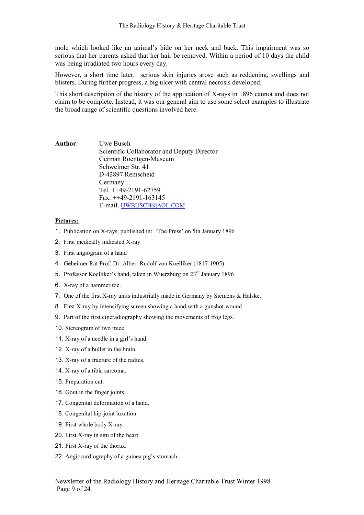mole which looked like an animal's hide on her neck and back. This impairment was so serious that her parents asked that her hair be removed. Within a period of 10 days the child was being irradiated two hours every day.

However, a short time later, serious skin injuries arose such as reddening, swellings and blisters. During further progress, a big ulcer with central necrosis developed.

This short description of the history of the application of X-rays in 1896 cannot and does not claim to be complete. Instead, it was our general aim to use some select examples to illustrate the broad range of scientific questions involved here.

Author: Uwe Busch Scientific Collaborator and Deputy Director German Roentgen-Museum Schwelmer Str. 41 D-42897 Remscheid Germany Tel. ++49-2191-62759 Fax. ++49-2191-163145 E-mail. UWBUSCH@AOL.COM

#### Pictures:

- 1. Publication on X-rays, published in: 'The Press' on 5th January 1896
- 2. First medically indicated X-ray
- 3. First angiogram of a hand
- 4. Geheimer Rat Prof. Dr. Albert Rudolf von Koelliker (1817-1905)
- 5. Professor Koelliker's hand, taken in Wuerzburg on 23<sup>rd</sup> January 1896
- 6. X-ray of a hammer toe.
- 7. One of the first X-ray units industrially made in Germany by Siemens & Halske.
- 8. First X-ray by intensifying screen showing a hand with a gunshot wound.
- 9. Part of the first cineradiography showing the movements of frog legs.
- 10. Stereogram of two mice.
- 11. X-ray of a needle in a girl's hand.
- 12. X-ray of a bullet in the brain.
- 13. X-ray of a fracture of the radius.
- 14. X-ray of a tibia sarcoma.
- 15. Preparation cut.
- 16. Gout in the finger joints.
- 17. Congenital deformation of a hand.
- 18. Congenital hip-joint luxation.
- 19. First whole body X-ray.
- 20. First X-ray in situ of the heart.
- 21. First X-ray of the thorax.
- 22. Angiocardiography of a guinea pig's stomach.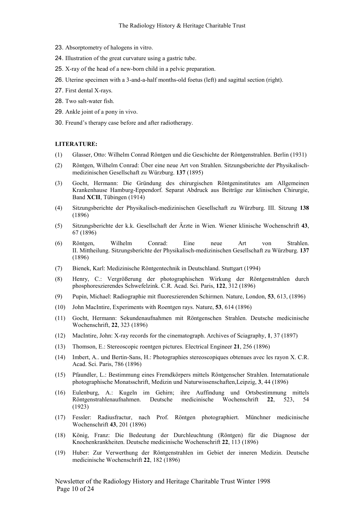- 23. Absorptometry of halogens in vitro.
- 24. Illustration of the great curvature using a gastric tube.
- 25. X-ray of the head of a new-born child in a pelvic preparation.
- 26. Uterine specimen with a 3-and-a-half months-old foetus (left) and sagittal section (right).
- 27. First dental X-rays.
- 28. Two salt-water fish.
- 29. Ankle joint of a pony in vivo.
- 30. Freund's therapy case before and after radiotherapy.

#### LITERATURE:

- (1) Glasser, Otto: Wilhelm Conrad Röntgen und die Geschichte der Röntgenstrahlen. Berlin (1931)
- (2) Röntgen, Wilhelm Conrad: Über eine neue Art von Strahlen. Sitzungsberichte der Physikalischmedizinischen Gesellschaft zu Würzburg. 137 (1895)
- (3) Gocht, Hermann: Die Gründung des chirurgischen Röntgeninstitutes am Allgemeinen Krankenhause Hamburg-Eppendorf. Separat Abdruck aus Beiträge zur klinischen Chirurgie, Band XCII, Tübingen (1914)
- (4) Sitzungsberichte der Physikalisch-medizinischen Gesellschaft zu Würzburg. III. Sitzung 138 (1896)
- (5) Sitzungsberichte der k.k. Gesellschaft der Ärzte in Wien. Wiener klinische Wochenschrift 43, 67 (1896)
- (6) Röntgen, Wilhelm Conrad: Eine neue Art von Strahlen. II. Mittheilung. Sitzungsberichte der Physikalisch-medizinischen Gesellschaft zu Würzburg. 137 (1896)
- (7) Bienek, Karl: Medizinische Röntgentechnik in Deutschland. Stuttgart (1994)
- (8) Henry, C.: Vergrößerung der photographischen Wirkung der Röntgenstrahlen durch phosphoreszierendes Schwefelzink. C.R. Acad. Sci. Paris, 122, 312 (1896)
- (9) Pupin, Michael: Radiographie mit fluoreszierenden Schirmen. Nature, London, 53, 613, (1896)
- (10) John MacIntire, Experiments with Roentgen rays. Nature, 53, 614 (1896)
- (11) Gocht, Hermann: Sekundenaufnahmen mit Röntgenschen Strahlen. Deutsche medicinische Wochenschrift, 22, 323 (1896)
- (12) MacIntire, John: X-ray records for the cinematograph. Archives of Sciagraphy, 1, 37 (1897)
- (13) Thomson, E.: Stereoscopic roentgen pictures. Electrical Engineer 21, 256 (1896)
- (14) Imbert, A.. und Bertin-Sans, H.: Photographies stereoscopiques obtenues avec les rayon X. C.R. Acad. Sci. Paris, 786 (1896)
- (15) Pfaundler, L.: Bestimmung eines Fremdkörpers mittels Röntgenscher Strahlen. Internatationale photographische Monatsschrift, Medizin und Naturwissenschaften,Leipzig, 3, 44 (1896)
- (16) Eulenburg, A.: Kugeln im Gehirn; ihre Auffindung und Ortsbestimmung mittels Röntgenstrahlenaufnahmen. Deutsche medicinische Wochenschrift 22, 523, 54 (1923)
- (17) Fessler: Radiusfractur, nach Prof. Röntgen photographiert. Münchner medicinische Wochenschrift 43, 201 (1896)
- (18) König, Franz: Die Bedeutung der Durchleuchtung (Röntgen) für die Diagnose der Knochenkrankheiten. Deutsche medicinische Wochenschrift 22, 113 (1896)
- (19) Huber: Zur Verwerthung der Röntgenstrahlen im Gebiet der inneren Medizin. Deutsche medicinische Wochenschrift 22, 182 (1896)

Newsletter of the Radiology History and Heritage Charitable Trust Winter 1998 Page 10 of 24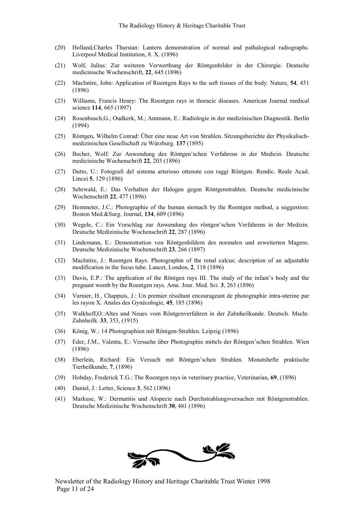- (20) Holland,Charles Thurstan: Lantern demonstration of normal and pathalogical radiographs. Liverpool Medical Institution, 8. X. (1896)
- (21) Wolf, Julius: Zur weiteren Verwerthung der Röntgenbilder in der Chirurgie. Deutsche medicinische Wochenschrift, 22, 645 (1896)
- (22) MacIntire, John: Application of Roentgen Rays to the soft tissues of the body. Nature, 54, 451 (1896)
- (23) Williams, Francis Henry: The Roentgen rays in thoracic diseases. American Journal medical science 114, 665 (1897)
- (24) Rosenbusch,G.; Oudkerk, M.; Ammann, E.: Radiologie in der medizinischen Diagnostik. Berlin (1994)
- (25) Röntgen, Wilhelm Conrad: Über eine neue Art von Strahlen. Sitzungsberichte der Physikalischmedizinischen Gesellschaft zu Würzburg. 137 (1895)
- (26) Becher, Wolf: Zur Anwendung des Röntgen'schen Verfahrens in der Medicin. Deutsche medicinische Wochenschrift 22, 203 (1896)
- (27) Dutto, U.: Fotografi del sistema arterioso ottenute con raggi Röntgen. Rendic. Reale Acad. Lincei 5, 129 (1896)
- (28) Sehrwald, E.: Das Verhalten der Halogen gegen Röntgenstrahlen. Deutsche medicinische Wochenschrift 22, 477 (1896)
- (29) Hemmeter, J.C.: Photographie of the human stomach by the Roentgen method, a suggestion: Boston Med.&Surg. Journal, 134, 609 (1896)
- (30) Wegele, C.: Ein Vorschlag zur Anwendung des röntgen'schen Verfahrens in der Medizin. Deutsche Medizinische Wochenschrift 22, 287 (1896)
- (31) Lindemann, E.: Demonstration von Röntgenbildern des normalen und erweiterten Magens. Deutsche Medizinische Wochenschrift 23, 266 (1897)
- (32) MacIntire, J.: Roentgen Rays. Photographie of the renal calcus; description of an adjustable modification in the focus tube. Lancet, London, 2, 118 (1896)
- (33) Davis, E.P.: The application of the Röntgen rays III. The study of the infant's body and the pregnant womb by the Roentgen rays. Ame. Jour. Med. Sci. 3, 263 (1896)
- (34) Varnier, H., Chappuis, J.: Un premier résultant encourageant de photographie intra-uterine par les rayon X. Anales des Gynécologie, 45, 185 (1896)
- (35) Walkhoff,O.:Altes und Neues vom Röntgenverfahren in der Zahnheilkunde. Deutsch. Mschr. Zahnheilk. 33, 353, (1915)
- (36) König, W.: 14 Photographien mit Röntgen-Strahlen. Leipzig (1896)
- (37) Eder, J.M., Valenta, E.: Versuche über Photographie mittels der Röntgen'schen Strahlen. Wien (1896)
- (38) Eberlein, Richard: Ein Versuch mit Röntgen'schen Strahlen. Monatshefte praktische Tierheilkunde, 7, (1896)
- (39) Hobday, Frederick T.G.: The Roentgen rays in veterinary practice, Veterinarian, 69, (1896)
- (40) Daniel, J.: Letter, Science 3, 562 (1896)
- (41) Markuse, W.: Dermatitis und Alopecie nach Durchstrahlungsversuchen mit Röntgenstrahlen. Deutsche Medizinische Wochenschrift 30, 481 (1896)

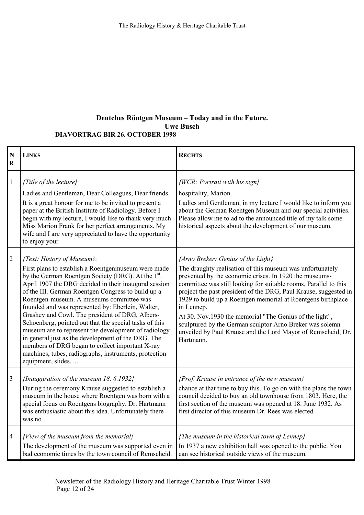## Deutches Röntgen Museum – Today and in the Future. Uwe Busch

| <b>DIAVORTRAG BIR 26. OCTOBER 1998</b> |  |
|----------------------------------------|--|
|----------------------------------------|--|

| N<br>$\mathbf R$ | <b>LINKS</b>                                                                                                                                                                                                                                                                                                                                                                                                                                                                                                                                                                                                                                                                                                                     | <b>RECHTS</b>                                                                                                                                                                                                                                                                                                                                                                                                                                                                                                                                                                        |
|------------------|----------------------------------------------------------------------------------------------------------------------------------------------------------------------------------------------------------------------------------------------------------------------------------------------------------------------------------------------------------------------------------------------------------------------------------------------------------------------------------------------------------------------------------------------------------------------------------------------------------------------------------------------------------------------------------------------------------------------------------|--------------------------------------------------------------------------------------------------------------------------------------------------------------------------------------------------------------------------------------------------------------------------------------------------------------------------------------------------------------------------------------------------------------------------------------------------------------------------------------------------------------------------------------------------------------------------------------|
| $\,1\,$          | {Title of the lecture}<br>Ladies and Gentleman, Dear Colleagues, Dear friends.<br>It is a great honour for me to be invited to present a<br>paper at the British Institute of Radiology. Before I<br>begin with my lecture, I would like to thank very much<br>Miss Marion Frank for her perfect arrangements. My<br>wife and I are very appreciated to have the opportunity<br>to enjoy your                                                                                                                                                                                                                                                                                                                                    | {WCR: Portrait with his sign}<br>hospitality, Marion.<br>Ladies and Gentleman, in my lecture I would like to inform you<br>about the German Roentgen Museum and our special activities.<br>Please allow me to ad to the announced title of my talk some<br>historical aspects about the development of our museum.                                                                                                                                                                                                                                                                   |
| $\sqrt{2}$       | {Text: History of Museum}:<br>First plans to establish a Roentgenmuseum were made<br>by the German Roentgen Society (DRG). At the 1 <sup>st</sup> .<br>April 1907 the DRG decided in their inaugural session<br>of the III. German Roentgen Congress to build up a<br>Roentgen-museum. A museums committee was<br>founded and was represented by: Eberlein, Walter,<br>Grashey and Cowl. The president of DRG, Albers-<br>Schoenberg, pointed out that the special tasks of this<br>museum are to represent the development of radiology<br>in general just as the development of the DRG. The<br>members of DRG began to collect important X-ray<br>machines, tubes, radiographs, instruments, protection<br>equipment, slides, | {Arno Breker: Genius of the Light}<br>The draughty realisation of this museum was unfortunately<br>prevented by the economic crises. In 1920 the museums-<br>committee was still looking for suitable rooms. Parallel to this<br>project the past president of the DRG, Paul Krause, suggested in<br>1929 to build up a Roentgen memorial at Roentgens birthplace<br>in Lennep.<br>At 30. Nov. 1930 the memorial "The Genius of the light",<br>sculptured by the German sculptor Arno Breker was solemn<br>unveiled by Paul Krause and the Lord Mayor of Remscheid, Dr.<br>Hartmann. |
| $\mathfrak{Z}$   | {Inauguration of the museum 18.6.1932}<br>During the ceremony Krause suggested to establish a<br>museum in the house where Roentgen was born with a<br>special focus on Roentgens biography. Dr. Hartmann<br>was enthusiastic about this idea. Unfortunately there<br>was no                                                                                                                                                                                                                                                                                                                                                                                                                                                     | {Prof. Krause in entrance of the new museum}<br>chance at that time to buy this. To go on with the plans the town<br>council decided to buy an old townhouse from 1803. Here, the<br>first section of the museum was opened at 18. June 1932. As<br>first director of this museum Dr. Rees was elected.                                                                                                                                                                                                                                                                              |
| $\overline{4}$   | {View of the museum from the memorial}<br>The development of the museum was supported even in<br>bad economic times by the town council of Remscheid.                                                                                                                                                                                                                                                                                                                                                                                                                                                                                                                                                                            | {The museum in the historical town of Lennep}<br>In 1937 a new exhibition hall was opened to the public. You<br>can see historical outside views of the museum.                                                                                                                                                                                                                                                                                                                                                                                                                      |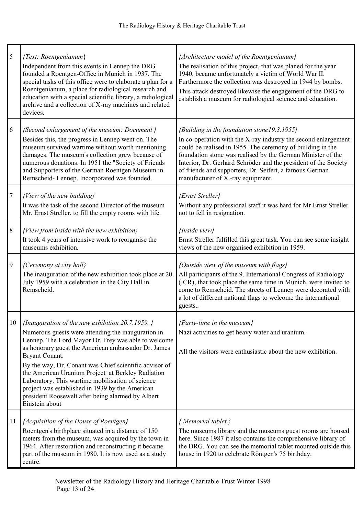| $\mathfrak{S}$ | {Text: Roentgenianum}<br>Independent from this events in Lennep the DRG<br>founded a Roentgen-Office in Munich in 1937. The<br>special tasks of this office were to elaborate a plan for a<br>Roentgenianum, a place for radiological research and<br>education with a special scientific library, a radiological<br>archive and a collection of X-ray machines and related<br>devices.                                                                                                                                               | {Architecture model of the Roentgenianum}<br>The realisation of this project, that was planed for the year<br>1940, became unfortunately a victim of World War II.<br>Furthermore the collection was destroyed in 1944 by bombs.<br>This attack destroyed likewise the engagement of the DRG to<br>establish a museum for radiological science and education.                                                 |
|----------------|---------------------------------------------------------------------------------------------------------------------------------------------------------------------------------------------------------------------------------------------------------------------------------------------------------------------------------------------------------------------------------------------------------------------------------------------------------------------------------------------------------------------------------------|---------------------------------------------------------------------------------------------------------------------------------------------------------------------------------------------------------------------------------------------------------------------------------------------------------------------------------------------------------------------------------------------------------------|
| 6              | {Second enlargement of the museum: Document }<br>Besides this, the progress in Lennep went on. The<br>museum survived wartime without worth mentioning<br>damages. The museum's collection grew because of<br>numerous donations. In 1951 the "Society of Friends<br>and Supporters of the German Roentgen Museum in<br>Remscheid-Lennep, Incorporated was founded.                                                                                                                                                                   | {Building in the foundation stone19.3.1955}<br>In co-operation with the X-ray industry the second enlargement<br>could be realised in 1955. The ceremony of building in the<br>foundation stone was realised by the German Minister of the<br>Interior, Dr. Gerhard Schröder and the president of the Society<br>of friends and supporters, Dr. Seifert, a famous German<br>manufacturer of X.-ray equipment. |
| $\tau$         | {View of the new building}<br>It was the task of the second Director of the museum<br>Mr. Ernst Streller, to fill the empty rooms with life.                                                                                                                                                                                                                                                                                                                                                                                          | {Ernst Streller}<br>Without any professional staff it was hard for Mr Ernst Streller<br>not to fell in resignation.                                                                                                                                                                                                                                                                                           |
| $\,8\,$        | {View from inside with the new exhibition}<br>It took 4 years of intensive work to reorganise the<br>museums exhibition.                                                                                                                                                                                                                                                                                                                                                                                                              | {Inside view}<br>Ernst Streller fulfilled this great task. You can see some insight<br>views of the new organised exhibition in 1959.                                                                                                                                                                                                                                                                         |
| 9              | {Ceremony at city hall}<br>The inauguration of the new exhibition took place at 20.<br>July 1959 with a celebration in the City Hall in<br>Remscheid.                                                                                                                                                                                                                                                                                                                                                                                 | {Outside view of the museum with flags}<br>All participants of the 9. International Congress of Radiology<br>(ICR), that took place the same time in Munich, were invited to<br>come to Remscheid. The streets of Lennep were decorated with<br>a lot of different national flags to welcome the international<br>guests                                                                                      |
| 10             | {Inauguration of the new exhibition $20.7.1959$ .}<br>Numerous guests were attending the inauguration in<br>Lennep. The Lord Mayor Dr. Frey was able to welcome<br>as honorary guest the American ambassador Dr. James<br>Bryant Conant.<br>By the way, Dr. Conant was Chief scientific advisor of<br>the American Uranium Project at Berkley Radiation<br>Laboratory. This wartime mobilisation of science<br>project was established in 1939 by the American<br>president Roosewelt after being alarmed by Albert<br>Einstein about | {Party-time in the museum}<br>Nazi activities to get heavy water and uranium.<br>All the visitors were enthusiastic about the new exhibition.                                                                                                                                                                                                                                                                 |
| 11             | {Acquisition of the House of Roentgen}<br>Roentgen's birthplace situated in a distance of 150<br>meters from the museum, was acquired by the town in<br>1964. After restoration and reconstructing it became<br>part of the museum in 1980. It is now used as a study<br>centre.                                                                                                                                                                                                                                                      | { Memorial tablet }<br>The museums library and the museums guest rooms are housed<br>here. Since 1987 it also contains the comprehensive library of<br>the DRG. You can see the memorial tablet mounted outside this<br>house in 1920 to celebrate Röntgen's 75 birthday.                                                                                                                                     |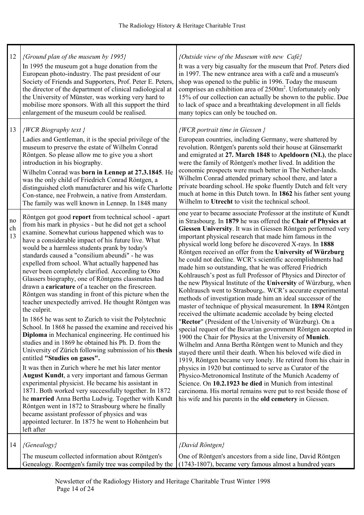| 12             | {Ground plan of the museum by 1995}<br>In 1995 the museum got a huge donation from the<br>European photo-industry. The past president of our<br>Society of Friends and Supporters, Prof. Peter E. Peters,<br>the director of the department of clinical radiological at<br>the University of Münster, was working very hard to<br>mobilise more sponsors. With all this support the third<br>enlargement of the museum could be realised.                                                                                                                                                                                                                                                                                                                                                                                                                                                                                                                                                                                                                                                                                                                                                                                                                                                                                                                                                                                                                                               | {Outside view of the Museum with new Café}<br>It was a very big casualty for the museum that Prof. Peters died<br>in 1997. The new entrance area with a café and a museum's<br>shop was opened to the public in 1996. Today the museum<br>comprises an exhibition area of 2500m <sup>2</sup> . Unfortunately only<br>15% of our collection can actually be shown to the public. Due<br>to lack of space and a breathtaking development in all fields<br>many topics can only be touched on.                                                                                                                                                                                                                                                                                                                                                                                                                                                                                                                                                                                                                                                                                                                                                                                                                                                                                                                                                                                                                                                                                                                      |
|----------------|-----------------------------------------------------------------------------------------------------------------------------------------------------------------------------------------------------------------------------------------------------------------------------------------------------------------------------------------------------------------------------------------------------------------------------------------------------------------------------------------------------------------------------------------------------------------------------------------------------------------------------------------------------------------------------------------------------------------------------------------------------------------------------------------------------------------------------------------------------------------------------------------------------------------------------------------------------------------------------------------------------------------------------------------------------------------------------------------------------------------------------------------------------------------------------------------------------------------------------------------------------------------------------------------------------------------------------------------------------------------------------------------------------------------------------------------------------------------------------------------|------------------------------------------------------------------------------------------------------------------------------------------------------------------------------------------------------------------------------------------------------------------------------------------------------------------------------------------------------------------------------------------------------------------------------------------------------------------------------------------------------------------------------------------------------------------------------------------------------------------------------------------------------------------------------------------------------------------------------------------------------------------------------------------------------------------------------------------------------------------------------------------------------------------------------------------------------------------------------------------------------------------------------------------------------------------------------------------------------------------------------------------------------------------------------------------------------------------------------------------------------------------------------------------------------------------------------------------------------------------------------------------------------------------------------------------------------------------------------------------------------------------------------------------------------------------------------------------------------------------|
| 13             | {WCR Biography text }<br>Ladies and Gentleman, it is the special privilege of the<br>museum to preserve the estate of Wilhelm Conrad<br>Röntgen. So please allow me to give you a short<br>introduction in his biography.<br>Wilhelm Conrad was born in Lennep at 27.3.1845. He<br>was the only child of Friedrich Conrad Röntgen, a<br>distinguished cloth manufacturer and his wife Charlotte<br>Con-stance, nee Frohwein, a native from Amsterdam.<br>The family was well known in Lennep. In 1848 many                                                                                                                                                                                                                                                                                                                                                                                                                                                                                                                                                                                                                                                                                                                                                                                                                                                                                                                                                                              | {WCR portrait time in Giessen }<br>European countries, including Germany, were shattered by<br>revolution. Röntgen's parents sold their house at Gänsemarkt<br>and emigrated at 27. March 1848 to Apeldoorn (NL), the place<br>were the family of Röntgen's mother lived. In addition the<br>economic prospects were much better in The Nether-lands.<br>Wilhelm Conrad attended primary school there, and later a<br>private boarding school. He spoke fluently Dutch and felt very<br>much at home in this Dutch town. In 1862 his father sent young<br>Wilhelm to Utrecht to visit the technical school.                                                                                                                                                                                                                                                                                                                                                                                                                                                                                                                                                                                                                                                                                                                                                                                                                                                                                                                                                                                                      |
| no<br>ch<br>13 | Röntgen got good report from technical school - apart<br>from his mark in physics - but he did not get a school<br>examine. Somewhat curious happened which was to<br>have a considerable impact of his future live. What<br>would be a harmless students prank by today's<br>standards caused a "consilium abeundi" - he was<br>expelled from school. What actually happened has<br>never been completely clarified. According to Otto<br>Glassers biography, one of Röntgens classmates had<br>drawn a <b>caricature</b> of a teacher on the firescreen.<br>Röntgen was standing in front of this picture when the<br>teacher unexpectedly arrived. He thought Röntgen was<br>the culprit.<br>In 1865 he was sent to Zurich to visit the Polytechnic<br>School. In 1868 he passed the examine and received his<br>Diploma in Mechanical engineering. He continued his<br>studies and in 1869 he obtained his Ph. D. from the<br>University of Zürich following submission of his thesis<br>entitled "Studies on gases".<br>It was then in Zurich where he met his later mentor<br>August Kundt, a very important and famous German<br>experimental physicist. He became his assistant in<br>1871. Both worked very successfully together. In 1872<br>he married Anna Bertha Ludwig. Together with Kundt<br>Röntgen went in 1872 to Strasbourg where he finally<br>became assistant professor of physics and was<br>appointed lecturer. In 1875 he went to Hohenheim but<br>left after | one year to became associate Professor at the institute of Kundt<br>in Strasbourg. In 1879 he was offered the Chair of Physics at<br>Giessen University. It was in Giessen Röntgen performed very<br>important physical research that made him famous in the<br>physical world long before he discovered X-rays. In 1888<br>Röntgen received an offer from the University of Würzburg<br>he could not decline. WCR's scientific accomplishments had<br>made him so outstanding, that he was offered Friedrich<br>Kohlrausch's post as full Professor of Physics and Director of<br>the new Physical Institute of the University of Würzburg, when<br>Kohlrausch went to Strasbourg WCR's accurate experimental<br>methods of investigation made him an ideal successor of the<br>master of technique of physical measurement. In 1894 Röntgen<br>received the ultimate academic accolade by being elected<br>"Rector" (President of the University of Würzburg). On a<br>special request of the Bavarian government Röntgen accepted in<br>1900 the Chair for Physics at the University of Munich.<br>Wilhelm and Anna Bertha Röntgen went to Munich and they<br>stayed there until their death. When his beloved wife died in<br>1919, Röntgen became very lonely. He retired from his chair in<br>physics in 1920 but continued to serve as Curator of the<br>Physico-Metronomical Institute of the Munich Academy of<br>Science. On 10.2.1923 he died in Munich from intestinal<br>carcinoma. His mortal remains were put to rest beside those of<br>his wife and his parents in the old cemetery in Giessen. |
| 14             | {Genealogy}                                                                                                                                                                                                                                                                                                                                                                                                                                                                                                                                                                                                                                                                                                                                                                                                                                                                                                                                                                                                                                                                                                                                                                                                                                                                                                                                                                                                                                                                             | {David Röntgen}                                                                                                                                                                                                                                                                                                                                                                                                                                                                                                                                                                                                                                                                                                                                                                                                                                                                                                                                                                                                                                                                                                                                                                                                                                                                                                                                                                                                                                                                                                                                                                                                  |
|                | The museum collected information about Röntgen's<br>Genealogy. Roentgen's family tree was compiled by the                                                                                                                                                                                                                                                                                                                                                                                                                                                                                                                                                                                                                                                                                                                                                                                                                                                                                                                                                                                                                                                                                                                                                                                                                                                                                                                                                                               | One of Röntgen's ancestors from a side line, David Röntgen<br>(1743-1807), became very famous almost a hundred years                                                                                                                                                                                                                                                                                                                                                                                                                                                                                                                                                                                                                                                                                                                                                                                                                                                                                                                                                                                                                                                                                                                                                                                                                                                                                                                                                                                                                                                                                             |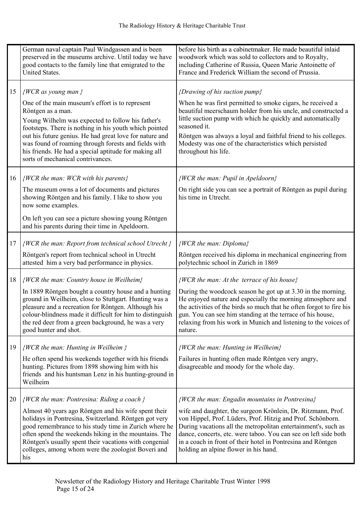|    | German naval captain Paul Windgassen and is been<br>preserved in the museums archive. Until today we have<br>good contacts to the family line that emigrated to the<br>United States.                                                                                                                                                                                                                                               | before his birth as a cabinetmaker. He made beautiful inlaid<br>woodwork which was sold to collectors and to Royalty,<br>including Catherine of Russia, Queen Marie Antoinette of<br>France and Frederick William the second of Prussia.                                                                                                                                                                                    |
|----|-------------------------------------------------------------------------------------------------------------------------------------------------------------------------------------------------------------------------------------------------------------------------------------------------------------------------------------------------------------------------------------------------------------------------------------|-----------------------------------------------------------------------------------------------------------------------------------------------------------------------------------------------------------------------------------------------------------------------------------------------------------------------------------------------------------------------------------------------------------------------------|
| 15 | $\{WCR\;as\;young\;man\;\}$<br>One of the main museum's effort is to represent<br>Röntgen as a man.<br>Young Wilhelm was expected to follow his father's<br>footsteps. There is nothing in his youth which pointed<br>out his future genius. He had great love for nature and<br>was found of roaming through forests and fields with<br>his friends. He had a special aptitude for making all<br>sorts of mechanical contrivances. | {Drawing of his suction pump}<br>When he was first permitted to smoke cigars, he received a<br>beautiful meerschaum holder from his uncle, and constructed a<br>little suction pump with which he quickly and automatically<br>seasoned it.<br>Röntgen was always a loyal and faithful friend to his colleges.<br>Modesty was one of the characteristics which persisted<br>throughout his life.                            |
| 16 | {WCR the man: WCR with his parents}<br>The museum owns a lot of documents and pictures<br>showing Röntgen and his family. I like to show you<br>now some examples.<br>On left you can see a picture showing young Röntgen<br>and his parents during their time in Apeldoorn.                                                                                                                                                        | {WCR the man: Pupil in Apeldoorn}<br>On right side you can see a portrait of Röntgen as pupil during<br>his time in Utrecht.                                                                                                                                                                                                                                                                                                |
| 17 | $\{WCR\$ the man: Report from technical school Utrecht $\}$<br>Röntgen's report from technical school in Utrecht<br>attested him a very bad performance in physics.                                                                                                                                                                                                                                                                 | $\{WCR\ the\ man\colon Diploma\}$<br>Röntgen received his diploma in mechanical engineering from<br>polytechnic school in Zurich in 1869                                                                                                                                                                                                                                                                                    |
| 18 | {WCR the man: Country house in Weilheim}<br>In 1889 Röntgen bought a country house and a hunting<br>ground in Weilheim, close to Stuttgart. Hunting was a<br>pleasure and a recreation for Röntgen. Although his<br>colour-blindness made it difficult for him to distinguish<br>the red deer from a green background, he was a very<br>good hunter and shot.                                                                       | $\{WCR\$ the man: At the terrace of his house}<br>During the woodcock season he got up at 3.30 in the morning.<br>He enjoyed nature and especially the morning atmosphere and<br>the activities of the birds so much that he often forgot to fire his<br>gun. You can see him standing at the terrace of his house.<br>relaxing from his work in Munich and listening to the voices of<br>nature.                           |
| 19 | $\{WCR\$ the man: Hunting in Weilheim $\}$<br>He often spend his weekends together with his friends<br>hunting. Pictures from 1898 showing him with his<br>friends and his huntsman Lenz in his hunting-ground in<br>Weilheim                                                                                                                                                                                                       | {WCR the man: Hunting in Weilheim}<br>Failures in hunting often made Röntgen very angry,<br>disagreeable and moody for the whole day.                                                                                                                                                                                                                                                                                       |
| 20 | $\{WCR\$ the man: Pontresina: Riding a coach $\}$<br>Almost 40 years ago Röntgen and his wife spent their<br>holidays in Pontresina, Switzerland. Röntgen got very<br>good remembrance to his study time in Zurich where he<br>often spend the weekends hiking in the mountains. The<br>Röntgen's usually spent their vacations with congenial<br>colleges, among whom were the zoologist Boveri and<br>his                         | {WCR the man: Engadin mountains in Pontresina}<br>wife and daughter, the surgeon Krönlein, Dr. Ritzmann, Prof.<br>von Hippel, Prof. Lüders, Prof. Hitzig and Prof. Schönborn.<br>During vacations all the metropolitan entertainment's, such as<br>dance, concerts, etc. were taboo. You can see on left side both<br>in a coach in front of their hotel in Pontresina and Röntgen<br>holding an alpine flower in his hand. |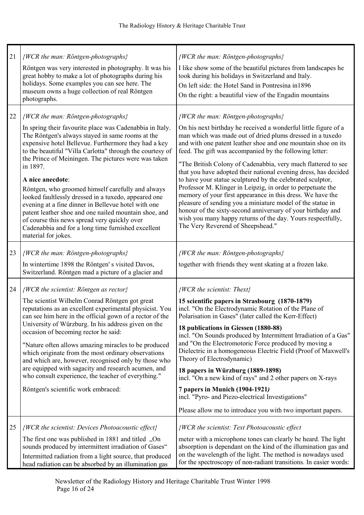| 21 | {WCR the man: Röntgen-photographs}<br>Röntgen was very interested in photography. It was his<br>great hobby to make a lot of photographs during his<br>holidays. Some examples you can see here. The<br>museum owns a huge collection of real Röntgen<br>photographs.                                                                                                                                                                                                                                                                                                                                                                                                                                                     | {WCR the man: Röntgen-photographs}<br>I like show some of the beautiful pictures from landscapes he<br>took during his holidays in Switzerland and Italy.<br>On left side: the Hotel Sand in Pontresina in 1896<br>On the right: a beautiful view of the Engadin mountains                                                                                                                                                                                                                                                                                                                                                                                                                                                                                                                                                                                     |
|----|---------------------------------------------------------------------------------------------------------------------------------------------------------------------------------------------------------------------------------------------------------------------------------------------------------------------------------------------------------------------------------------------------------------------------------------------------------------------------------------------------------------------------------------------------------------------------------------------------------------------------------------------------------------------------------------------------------------------------|----------------------------------------------------------------------------------------------------------------------------------------------------------------------------------------------------------------------------------------------------------------------------------------------------------------------------------------------------------------------------------------------------------------------------------------------------------------------------------------------------------------------------------------------------------------------------------------------------------------------------------------------------------------------------------------------------------------------------------------------------------------------------------------------------------------------------------------------------------------|
| 22 | {WCR the man: Röntgen-photographs}<br>In spring their favourite place was Cadenabbia in Italy.<br>The Röntgen's always stayed in same rooms at the<br>expensive hotel Bellevue. Furthermore they had a key<br>to the beautiful "Villa Carlotta" through the courtesy of<br>the Prince of Meiningen. The pictures were was taken<br>in 1897.<br>A nice anecdote:<br>Röntgen, who groomed himself carefully and always<br>looked faultlessly dressed in a tuxedo, appeared one<br>evening at a fine dinner in Bellevue hotel with one<br>patent leather shoe and one nailed mountain shoe, and<br>of course this news spread very quickly over<br>Cadenabbia and for a long time furnished excellent<br>material for jokes. | {WCR the man: Röntgen-photographs}<br>On his next birthday he received a wonderful little figure of a<br>man which was made out of dried plums dressed in a tuxedo<br>and with one patent leather shoe and one mountain shoe on its<br>feed. The gift was accompanied by the following letter:<br>"The British Colony of Cadenabbia, very much flattered to see<br>that you have adopted their national evening dress, has decided<br>to have your statue sculptured by the celebrated sculptor,<br>Professor M. Klinger in Leipzig, in order to perpetuate the<br>memory of your first appearance in this dress. We have the<br>pleasure of sending you a miniature model of the statue in<br>honour of the sixty-second anniversary of your birthday and<br>wish you many happy returns of the day. Yours respectfully,<br>The Very Reverend of Sheepshead." |
| 23 | {WCR the man: Röntgen-photographs}<br>In wintertime 1898 the Röntgen's visited Davos,<br>Switzerland. Röntgen mad a picture of a glacier and                                                                                                                                                                                                                                                                                                                                                                                                                                                                                                                                                                              | {WCR the man: Röntgen-photographs}<br>together with friends they went skating at a frozen lake.                                                                                                                                                                                                                                                                                                                                                                                                                                                                                                                                                                                                                                                                                                                                                                |
| 24 | $\{WCR\$ the scientist: Röntgen as rector}<br>The scientist Wilhelm Conrad Röntgen got great<br>reputations as an excellent experimental physicist. You<br>can see him here in the official gown of a rector of the<br>University of Würzburg. In his address given on the<br>occasion of becoming rector he said:<br>"Nature often allows amazing miracles to be produced<br>which originate from the most ordinary observations<br>and which are, however, recognised only by those who<br>are equipped with sagacity and research acumen, and<br>who consult experience, the teacher of everything."<br>Röntgen's scientific work embraced:                                                                            | $\{WCR\ the\ scientist:\ The\ x\}$<br>15 scientific papers in Strasbourg (1870-1879)<br>incl. "On the Electrodynamic Rotation of the Plane of<br>Polarisation in Gases" (later called the Kerr-Effect)<br>18 publications in Giessen (1880-88)<br>incl. "On Sounds produced by Intermittent Irradiation of a Gas"<br>and "On the Electromotoric Force produced by moving a<br>Dielectric in a homogeneous Electric Field (Proof of Maxwell's<br>Theory of Electrodynamic)<br>18 papers in Würzburg (1889-1898)<br>incl. "On a new kind of rays" and 2 other papers on X-rays<br>7 papers in Munich (1904-1921)<br>incl. "Pyro- and Piezo-electrical Investigations"<br>Please allow me to introduce you with two important papers.                                                                                                                             |
| 25 | {WCR the scientist: Devices Photoacoustic effect}<br>The first one was published in 1881 and titled, On<br>sounds produced by intermittent irradiation of Gases"<br>Intermitted radiation from a light source, that produced<br>head radiation can be absorbed by an illumination gas                                                                                                                                                                                                                                                                                                                                                                                                                                     | {WCR the scientist: Text Photoacoustic effect<br>meter with a microphone tones can clearly be heard. The light<br>absorption is dependant on the kind of the illumination gas and<br>on the wavelength of the light. The method is nowadays used<br>for the spectroscopy of non-radiant transitions. In easier words:                                                                                                                                                                                                                                                                                                                                                                                                                                                                                                                                          |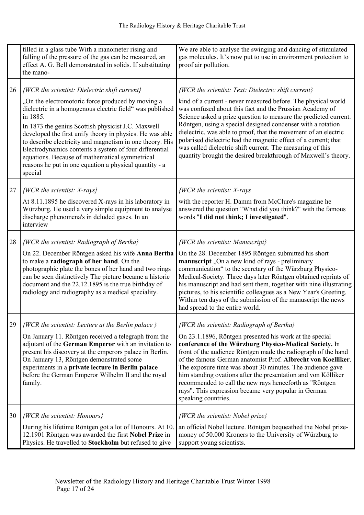|    | filled in a glass tube With a manometer rising and<br>falling of the pressure of the gas can be measured, an<br>effect A. G. Bell demonstrated in solids. If substituting<br>the mano-                                                                                                                                                                                                                                                                                                                                                    | We are able to analyse the swinging and dancing of stimulated<br>gas molecules. It's now put to use in environment protection to<br>proof air pollution.                                                                                                                                                                                                                                                                                                                                                                                                                                  |
|----|-------------------------------------------------------------------------------------------------------------------------------------------------------------------------------------------------------------------------------------------------------------------------------------------------------------------------------------------------------------------------------------------------------------------------------------------------------------------------------------------------------------------------------------------|-------------------------------------------------------------------------------------------------------------------------------------------------------------------------------------------------------------------------------------------------------------------------------------------------------------------------------------------------------------------------------------------------------------------------------------------------------------------------------------------------------------------------------------------------------------------------------------------|
| 26 | {WCR the scientist: Dielectric shift current}<br>"On the electromotoric force produced by moving a<br>dielectric in a homogenous electric field" was published<br>in 1885.<br>In 1873 the genius Scottish physicist J.C. Maxwell<br>developed the first unify theory in physics. He was able<br>to describe electricity and magnetism in one theory. His<br>Electrodynamics contents a system of four differential<br>equations. Because of mathematical symmetrical<br>reasons he put in one equation a physical quantity - a<br>special | {WCR the scientist: Text: Dielectric shift current}<br>kind of a current - never measured before. The physical world<br>was confused about this fact and the Prussian Academy of<br>Science asked a prize question to measure the predicted current.<br>Röntgen, using a special designed condenser with a rotation<br>dielectric, was able to proof, that the movement of an electric<br>polarised dielectric had the magnetic effect of a current; that<br>was called dielectric shift current. The measuring of this<br>quantity brought the desired breakthrough of Maxwell's theory. |
| 27 | $\{WCR\ the\ scientist: X-rays\}$<br>At 8.11.1895 he discovered X-rays in his laboratory in<br>Würzburg. He used a very simple equipment to analyse<br>discharge phenomena's in deluded gases. In an<br>interview                                                                                                                                                                                                                                                                                                                         | <i>{WCR the scientist: X-rays</i><br>with the reporter H. Damm from McClure's magazine he<br>answered the question "What did you think?" with the famous<br>words "I did not think; I investigated".                                                                                                                                                                                                                                                                                                                                                                                      |
| 28 | {WCR the scientist: Radiograph of Bertha}<br>On 22. December Röntgen asked his wife Anna Bertha<br>to make a radiograph of her hand. On the<br>photographic plate the bones of her hand and two rings<br>can be seen distinctively The picture became a historic<br>document and the 22.12.1895 is the true birthday of<br>radiology and radiography as a medical speciality.                                                                                                                                                             | $\{WCR\$ the scientist: Manuscript $\}$<br>On the 28. December 1895 Röntgen submitted his short<br>manuscript, On a new kind of rays - preliminary<br>communication" to the secretary of the Würzburg Physico-<br>Medical-Society. Three days later Röntgen obtained reprints of<br>his manuscript and had sent them, together with nine illustrating<br>pictures, to his scientific colleagues as a New Year's Greeting.<br>Within ten days of the submission of the manuscript the news<br>had spread to the entire world.                                                              |
| 29 | $\{WCR\$ the scientist: Lecture at the Berlin palace $\}$<br>On January 11. Röntgen received a telegraph from the<br>adjutant of the German Emperor with an invitation to<br>present his discovery at the emperors palace in Berlin.<br>On January 13, Röntgen demonstrated some<br>experiments in a private lecture in Berlin palace<br>before the German Emperor Wilhelm II and the royal<br>family.                                                                                                                                    | {WCR the scientist: Radiograph of Bertha}<br>On 23.1.1896, Röntgen presented his work at the special<br>conference of the Würzburg Physico-Medical Society. In<br>front of the audience Röntgen made the radiograph of the hand<br>of the famous German anatomist Prof. Albrecht von Koelliker.<br>The exposure time was about 30 minutes. The audience gave<br>him standing ovations after the presentation and von Kölliker<br>recommended to call the new rays henceforth as "Röntgen<br>rays". This expression became very popular in German<br>speaking countries.                   |
| 30 | {WCR the scientist: Honours}<br>During his lifetime Röntgen got a lot of Honours. At 10.<br>12.1901 Röntgen was awarded the first Nobel Prize in<br>Physics. He travelled to Stockholm but refused to give                                                                                                                                                                                                                                                                                                                                | {WCR the scientist: Nobel prize}<br>an official Nobel lecture. Röntgen bequeathed the Nobel prize-<br>money of 50.000 Kroners to the University of Würzburg to<br>support young scientists.                                                                                                                                                                                                                                                                                                                                                                                               |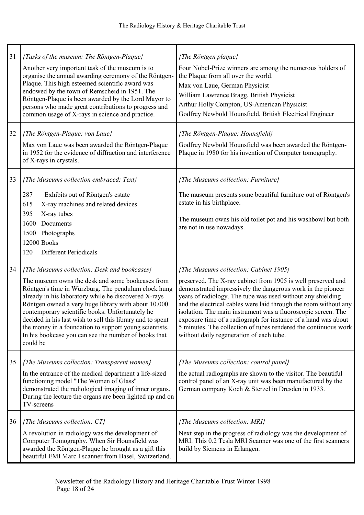| 31 | {Tasks of the museum: The Röntgen-Plaque}<br>Another very important task of the museum is to<br>organise the annual awarding ceremony of the Röntgen-<br>Plaque. This high esteemed scientific award was<br>endowed by the town of Remscheid in 1951. The<br>Röntgen-Plaque is been awarded by the Lord Mayor to<br>persons who made great contributions to progress and<br>common usage of X-rays in science and practice.                                                                                           | {The Röntgen plaque}<br>Four Nobel-Prize winners are among the numerous holders of<br>the Plaque from all over the world.<br>Max von Laue, German Physicist<br>William Lawrence Bragg, British Physicist<br>Arthur Holly Compton, US-American Physicist<br>Godfrey Newbold Hounsfield, British Electrical Engineer                                                                                                                                                                                                                                         |
|----|-----------------------------------------------------------------------------------------------------------------------------------------------------------------------------------------------------------------------------------------------------------------------------------------------------------------------------------------------------------------------------------------------------------------------------------------------------------------------------------------------------------------------|------------------------------------------------------------------------------------------------------------------------------------------------------------------------------------------------------------------------------------------------------------------------------------------------------------------------------------------------------------------------------------------------------------------------------------------------------------------------------------------------------------------------------------------------------------|
| 32 | {The Röntgen-Plaque: von Laue}<br>Max von Laue was been awarded the Röntgen-Plaque<br>in 1952 for the evidence of diffraction and interference<br>of X-rays in crystals.                                                                                                                                                                                                                                                                                                                                              | {The Röntgen-Plaque: Hounsfield}<br>Godfrey Newbold Hounsfield was been awarded the Röntgen-<br>Plaque in 1980 for his invention of Computer tomography.                                                                                                                                                                                                                                                                                                                                                                                                   |
| 33 | {The Museums collection embraced: Text}<br>287<br>Exhibits out of Röntgen's estate<br>X-ray machines and related devices<br>615<br>395<br>X-ray tubes<br>Documents<br>1600<br>Photographs<br>1500<br>12000 Books<br><b>Different Periodicals</b><br>120                                                                                                                                                                                                                                                               | {The Museums collection: Furniture}<br>The museum presents some beautiful furniture out of Röntgen's<br>estate in his birthplace.<br>The museum owns his old toilet pot and his washbowl but both<br>are not in use nowadays.                                                                                                                                                                                                                                                                                                                              |
| 34 | {The Museums collection: Desk and bookcases}<br>The museum owns the desk and some bookcases from<br>Röntgen's time in Würzburg. The pendulum clock hung<br>already in his laboratory while he discovered X-rays<br>Röntgen owned a very huge library with about 10.000<br>contemporary scientific books. Unfortunately he<br>decided in his last wish to sell this library and to spent<br>the money in a foundation to support young scientists.<br>In his bookcase you can see the number of books that<br>could be | {The Museums collection: Cabinet 1905}<br>preserved. The X-ray cabinet from 1905 is well preserved and<br>demonstrated impressively the dangerous work in the pioneer<br>years of radiology. The tube was used without any shielding<br>and the electrical cables were laid through the room without any<br>isolation. The main instrument was a fluoroscopic screen. The<br>exposure time of a radiograph for instance of a hand was about<br>5 minutes. The collection of tubes rendered the continuous work<br>without daily regeneration of each tube. |
| 35 | ${The Museum solution: Transparent women}$<br>In the entrance of the medical department a life-sized<br>functioning model "The Women of Glass"<br>demonstrated the radiological imaging of inner organs.<br>During the lecture the organs are been lighted up and on<br>TV-screens                                                                                                                                                                                                                                    | {The Museums collection: control panel}<br>the actual radiographs are shown to the visitor. The beautiful<br>control panel of an X-ray unit was been manufactured by the<br>German company Koch & Sterzel in Dresden in 1933.                                                                                                                                                                                                                                                                                                                              |
| 36 | {The Museums collection: $CT$ }<br>A revolution in radiology was the development of<br>Computer Tomography. When Sir Hounsfield was<br>awarded the Röntgen-Plaque he brought as a gift this<br>beautiful EMI Marc I scanner from Basel, Switzerland.                                                                                                                                                                                                                                                                  | {The Museums collection: MRI}<br>Next step in the progress of radiology was the development of<br>MRI. This 0.2 Tesla MRI Scanner was one of the first scanners<br>build by Siemens in Erlangen.                                                                                                                                                                                                                                                                                                                                                           |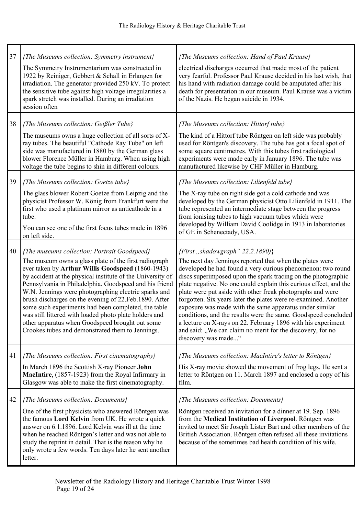| 37 | {The Museums collection: Symmetry instrument}<br>The Symmetry Instrumentarium was constructed in<br>1922 by Reiniger, Gebbert & Schall in Erlangen for<br>irradiation. The generator provided 250 kV. To protect<br>the sensitive tube against high voltage irregularities a<br>spark stretch was installed. During an irradiation<br>session often                                                                                                                                                                                                                                                                           | {The Museums collection: Hand of Paul Krause}<br>electrical discharges occurred that made most of the patient<br>very fearful. Professor Paul Krause decided in his last wish, that<br>his hand with radiation damage could be amputated after his<br>death for presentation in our museum. Paul Krause was a victim<br>of the Nazis. He began suicide in 1934.                                                                                                                                                                                                                                                                                                                                                        |
|----|-------------------------------------------------------------------------------------------------------------------------------------------------------------------------------------------------------------------------------------------------------------------------------------------------------------------------------------------------------------------------------------------------------------------------------------------------------------------------------------------------------------------------------------------------------------------------------------------------------------------------------|------------------------------------------------------------------------------------------------------------------------------------------------------------------------------------------------------------------------------------------------------------------------------------------------------------------------------------------------------------------------------------------------------------------------------------------------------------------------------------------------------------------------------------------------------------------------------------------------------------------------------------------------------------------------------------------------------------------------|
| 38 | {The Museums collection: Geißler Tube}<br>The museums owns a huge collection of all sorts of X-<br>ray tubes. The beautiful "Cathode Ray Tube" on left<br>side was manufactured in 1880 by the German glass<br>blower Florence Müller in Hamburg. When using high<br>voltage the tube begins to shin in different colours.                                                                                                                                                                                                                                                                                                    | {The Museums collection: Hittorf tube}<br>The kind of a Hittorf tube Röntgen on left side was probably<br>used for Röntgen's discovery. The tube has got a focal spot of<br>some square centimetres. With this tubes first radiological<br>experiments were made early in January 1896. The tube was<br>manufactured likewise by CHF Müller in Hamburg.                                                                                                                                                                                                                                                                                                                                                                |
| 39 | {The Museums collection: Goetze tube}<br>The glass blower Robert Goetze from Leipzig and the<br>physicist Professor W. König from Frankfurt were the<br>first who used a platinum mirror as anticathode in a<br>tube.<br>You can see one of the first focus tubes made in 1896<br>on left side.                                                                                                                                                                                                                                                                                                                               | {The Museums collection: Lilienfeld tube}<br>The X-ray tube on right side got a cold cathode and was<br>developed by the German physicist Otto Lilienfeld in 1911. The<br>tube represented an intermediate stage between the progress<br>from ionising tubes to high vacuum tubes which were<br>developed by William David Coolidge in 1913 in laboratories<br>of GE in Schenectady, USA.                                                                                                                                                                                                                                                                                                                              |
| 40 | {The museums collection: Portrait Goodspeed}<br>The museum owns a glass plate of the first radiograph<br>ever taken by Arthur Willis Goodspeed (1860-1943)<br>by accident at the physical institute of the University of<br>Pennsylvania in Philadelphia. Goodspeed and his friend<br>W.N. Jennings were photographing electric sparks and<br>brush discharges on the evening of 22. Feb. 1890. After<br>some such experiments had been completed, the table<br>was still littered with loaded photo plate holders and<br>other apparatus when Goodspeed brought out some<br>Crookes tubes and demonstrated them to Jennings. | {First, shadowgraph" $22.2.1890$ }<br>The next day Jennings reported that when the plates were<br>developed he had found a very curious phenomenon: two round<br>discs superimposed upon the spark tracing on the photographic<br>plate negative. No one could explain this curious effect, and the<br>plate were put aside with other freak photographs and were<br>forgotten. Six years later the plates were re-examined. Another<br>exposure was made with the same apparatus under similar<br>conditions, and the results were the same. Goodspeed concluded<br>a lecture on X-rays on 22. February 1896 with his experiment<br>and said: "We can claim no merit for the discovery, for no<br>discovery was made" |
| 41 | {The Museums collection: First cinematography}<br>In March 1896 the Scottish X-ray Pioneer John<br>MacIntire, (1857-1923) from the Royal Infirmary in<br>Glasgow was able to make the first cinematography.                                                                                                                                                                                                                                                                                                                                                                                                                   | {The Museums collection: MacIntire's letter to Röntgen}<br>His X-ray movie showed the movement of frog legs. He sent a<br>letter to Röntgen on 11. March 1897 and enclosed a copy of his<br>film.                                                                                                                                                                                                                                                                                                                                                                                                                                                                                                                      |
| 42 | {The Museums collection: Documents}<br>One of the first physicists who answered Röntgen was<br>the famous Lord Kelvin from UK. He wrote a quick<br>answer on 6.1.1896. Lord Kelvin was ill at the time<br>when he reached Röntgen's letter and was not able to<br>study the reprint in detail. That is the reason why he<br>only wrote a few words. Ten days later he sent another<br>letter.                                                                                                                                                                                                                                 | {The Museums collection: Documents}<br>Röntgen received an invitation for a dinner at 19. Sep. 1896<br>from the Medical Institution of Liverpool. Röntgen was<br>invited to meet Sir Joseph Lister Bart and other members of the<br>British Association. Röntgen often refused all these invitations<br>because of the sometimes bad health condition of his wife.                                                                                                                                                                                                                                                                                                                                                     |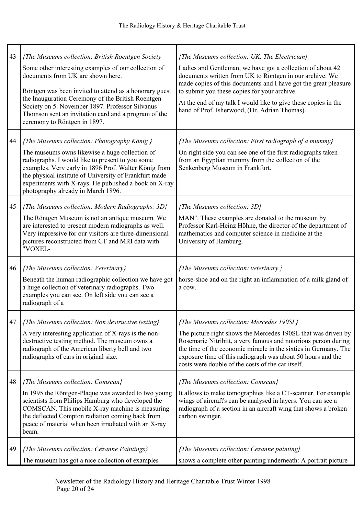| 43 | {The Museums collection: British Roentgen Society<br>Some other interesting examples of our collection of<br>documents from UK are shown here.<br>Röntgen was been invited to attend as a honorary guest<br>the Inauguration Ceremony of the British Roentgen<br>Society on 5. November 1897. Professor Silvanus<br>Thomson sent an invitation card and a program of the<br>ceremony to Röntgen in 1897. | {The Museums collection: UK, The Electrician}<br>Ladies and Gentleman, we have got a collection of about 42<br>documents written from UK to Röntgen in our archive. We<br>made copies of this documents and I have got the great pleasure<br>to submit you these copies for your archive.<br>At the end of my talk I would like to give these copies in the<br>hand of Prof. Isherwood, (Dr. Adrian Thomas). |
|----|----------------------------------------------------------------------------------------------------------------------------------------------------------------------------------------------------------------------------------------------------------------------------------------------------------------------------------------------------------------------------------------------------------|--------------------------------------------------------------------------------------------------------------------------------------------------------------------------------------------------------------------------------------------------------------------------------------------------------------------------------------------------------------------------------------------------------------|
| 44 | {The Museums collection: Photography König }<br>The museums owns likewise a huge collection of<br>radiographs. I would like to present to you some<br>examples. Very early in 1896 Prof. Walter König from<br>the physical institute of University of Frankfurt made<br>experiments with X-rays. He published a book on X-ray<br>photography already in March 1896.                                      | {The Museums collection: First radiograph of a mummy}<br>On right side you can see one of the first radiographs taken<br>from an Egyptian mummy from the collection of the<br>Senkenberg Museum in Frankfurt.                                                                                                                                                                                                |
| 45 | {The Museums collection: Modern Radiographs: 3D}<br>The Röntgen Museum is not an antique museum. We<br>are interested to present modern radiographs as well.<br>Very impressive for our visitors are three-dimensional<br>pictures reconstructed from CT and MRI data with<br>"VOXEL-                                                                                                                    | {The Museums collection: $3D$ }<br>MAN". These examples are donated to the museum by<br>Professor Karl-Heinz Höhne, the director of the department of<br>mathematics and computer science in medicine at the<br>University of Hamburg.                                                                                                                                                                       |
| 46 | {The Museums collection: Veterinary}<br>Beneath the human radiographic collection we have got<br>a huge collection of veterinary radiographs. Two<br>examples you can see. On left side you can see a<br>radiograph of a                                                                                                                                                                                 | ${The Museum solution: } v is the number of elements.$<br>horse-shoe and on the right an inflammation of a milk gland of<br>a cow.                                                                                                                                                                                                                                                                           |
| 47 | {The Museums collection: Non destructive testing}<br>A very interesting application of X-rays is the non-<br>destructive testing method. The museum owns a<br>radiograph of the American liberty bell and two<br>radiographs of cars in original size.                                                                                                                                                   | {The Museums collection: Mercedes 190SL}<br>The picture right shows the Mercedes 190SL that was driven by<br>Rosemarie Nitribitt, a very famous and notorious person during<br>the time of the economic miracle in the sixties in Germany. The<br>exposure time of this radiograph was about 50 hours and the<br>costs were double of the costs of the car itself.                                           |
| 48 | {The Museums collection: Comscan}<br>In 1995 the Röntgen-Plaque was awarded to two young<br>scientists from Philips Hamburg who developed the<br>COMSCAN. This mobile X-ray machine is measuring<br>the deflected Compton radiation coming back from<br>peace of material when been irradiated with an X-ray<br>beam.                                                                                    | {The Museums collection: Comscan}<br>It allows to make tomographies like a CT-scanner. For example<br>wings of aircraft's can be analysed in layers. You can see a<br>radiograph of a section in an aircraft wing that shows a broken<br>carbon swinger.                                                                                                                                                     |
| 49 | {The Museums collection: Cezanne Paintings}<br>The museum has got a nice collection of examples                                                                                                                                                                                                                                                                                                          | {The Museums collection: Cezanne painting}<br>shows a complete other painting underneath: A portrait picture                                                                                                                                                                                                                                                                                                 |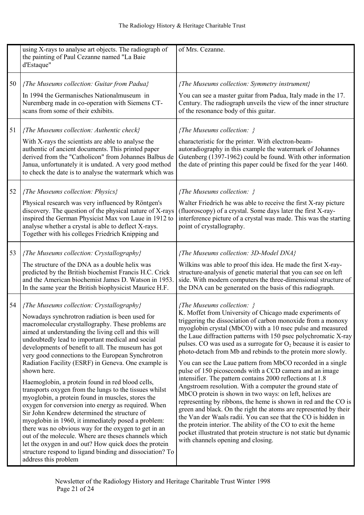|    | using X-rays to analyse art objects. The radiograph of                                                                                                                                                                                                                                                                                                                                                                                                                                                                                                                                                                                                                                                                                                                                                                                                                                                                                                                                                                                       | of Mrs. Cezanne.                                                                                                                                                                                                                                                                                                                                                                                                                                                                                                                                                                                                                                                                                                                                                                                                                                                                                                                                                                                                                                                                                                                    |
|----|----------------------------------------------------------------------------------------------------------------------------------------------------------------------------------------------------------------------------------------------------------------------------------------------------------------------------------------------------------------------------------------------------------------------------------------------------------------------------------------------------------------------------------------------------------------------------------------------------------------------------------------------------------------------------------------------------------------------------------------------------------------------------------------------------------------------------------------------------------------------------------------------------------------------------------------------------------------------------------------------------------------------------------------------|-------------------------------------------------------------------------------------------------------------------------------------------------------------------------------------------------------------------------------------------------------------------------------------------------------------------------------------------------------------------------------------------------------------------------------------------------------------------------------------------------------------------------------------------------------------------------------------------------------------------------------------------------------------------------------------------------------------------------------------------------------------------------------------------------------------------------------------------------------------------------------------------------------------------------------------------------------------------------------------------------------------------------------------------------------------------------------------------------------------------------------------|
|    | the painting of Paul Cezanne named "La Baie<br>d'Estaque"                                                                                                                                                                                                                                                                                                                                                                                                                                                                                                                                                                                                                                                                                                                                                                                                                                                                                                                                                                                    |                                                                                                                                                                                                                                                                                                                                                                                                                                                                                                                                                                                                                                                                                                                                                                                                                                                                                                                                                                                                                                                                                                                                     |
| 50 | {The Museums collection: Guitar from Padua}                                                                                                                                                                                                                                                                                                                                                                                                                                                                                                                                                                                                                                                                                                                                                                                                                                                                                                                                                                                                  | ${The Museum solution: Symmetry instrument}$                                                                                                                                                                                                                                                                                                                                                                                                                                                                                                                                                                                                                                                                                                                                                                                                                                                                                                                                                                                                                                                                                        |
|    | In 1994 the Germanisches Nationalmuseum in<br>Nuremberg made in co-operation with Siemens CT-<br>scans from some of their exhibits.                                                                                                                                                                                                                                                                                                                                                                                                                                                                                                                                                                                                                                                                                                                                                                                                                                                                                                          | You can see a master guitar from Padua, Italy made in the 17.<br>Century. The radiograph unveils the view of the inner structure<br>of the resonance body of this guitar.                                                                                                                                                                                                                                                                                                                                                                                                                                                                                                                                                                                                                                                                                                                                                                                                                                                                                                                                                           |
| 51 | {The Museums collection: Authentic check}                                                                                                                                                                                                                                                                                                                                                                                                                                                                                                                                                                                                                                                                                                                                                                                                                                                                                                                                                                                                    | {The Museums collection: }                                                                                                                                                                                                                                                                                                                                                                                                                                                                                                                                                                                                                                                                                                                                                                                                                                                                                                                                                                                                                                                                                                          |
|    | With X-rays the scientists are able to analyse the<br>authentic of ancient documents. This printed paper<br>derived from the "Catholicon" from Johannes Balbus de<br>Janua, unfortunately it is undated. A very good method<br>to check the date is to analyse the watermark which was                                                                                                                                                                                                                                                                                                                                                                                                                                                                                                                                                                                                                                                                                                                                                       | characteristic for the printer. With electron-beam-<br>autoradiography in this example the watermark of Johannes<br>Gutenberg (1397-1962) could be found. With other information<br>the date of printing this paper could be fixed for the year 1460.                                                                                                                                                                                                                                                                                                                                                                                                                                                                                                                                                                                                                                                                                                                                                                                                                                                                               |
| 52 | {The Museums collection: Physics}                                                                                                                                                                                                                                                                                                                                                                                                                                                                                                                                                                                                                                                                                                                                                                                                                                                                                                                                                                                                            | ${The Museum solution: }$                                                                                                                                                                                                                                                                                                                                                                                                                                                                                                                                                                                                                                                                                                                                                                                                                                                                                                                                                                                                                                                                                                           |
|    | Physical research was very influenced by Röntgen's<br>discovery. The question of the physical nature of X-rays<br>inspired the German Physicist Max von Laue in 1912 to<br>analyse whether a crystal is able to deflect X-rays.<br>Together with his colleges Friedrich Knipping and                                                                                                                                                                                                                                                                                                                                                                                                                                                                                                                                                                                                                                                                                                                                                         | Walter Friedrich he was able to receive the first X-ray picture<br>(fluoroscopy) of a crystal. Some days later the first X-ray-<br>interference picture of a crystal was made. This was the starting<br>point of crystallography.                                                                                                                                                                                                                                                                                                                                                                                                                                                                                                                                                                                                                                                                                                                                                                                                                                                                                                   |
| 53 | {The Museums collection: Crystallography}                                                                                                                                                                                                                                                                                                                                                                                                                                                                                                                                                                                                                                                                                                                                                                                                                                                                                                                                                                                                    | {The Museums collection: 3D-Model DNA}                                                                                                                                                                                                                                                                                                                                                                                                                                                                                                                                                                                                                                                                                                                                                                                                                                                                                                                                                                                                                                                                                              |
|    | The structure of the DNA as a double helix was<br>predicted by the British biochemist Francis H.C. Crick<br>and the American biochemist James D. Watson in 1953.<br>In the same year the British biophysicist Maurice H.F.                                                                                                                                                                                                                                                                                                                                                                                                                                                                                                                                                                                                                                                                                                                                                                                                                   | Wilkins was able to proof this idea. He made the first X-ray-<br>structure-analysis of genetic material that you can see on left<br>side. With modern computers the three-dimensional structure of<br>the DNA can be generated on the basis of this radiograph.                                                                                                                                                                                                                                                                                                                                                                                                                                                                                                                                                                                                                                                                                                                                                                                                                                                                     |
| 54 | {The Museums collection: Crystallography}<br>Nowadays synchrotron radiation is been used for<br>macromolecular crystallography. These problems are<br>aimed at understanding the living cell and this will<br>undoubtedly lead to important medical and social<br>developments of benefit to all. The museum has got<br>very good connections to the European Synchrotron<br>Radiation Facility (ESRF) in Geneva. One example is<br>shown here.<br>Haemoglobin, a protein found in red blood cells,<br>transports oxygen from the lungs to the tissues whilst<br>myoglobin, a protein found in muscles, stores the<br>oxygen for conversion into energy as required. When<br>Sir John Kendrew determined the structure of<br>myoglobin in 1960, it immediately posed a problem:<br>there was no obvious way for the oxygen to get in an<br>out of the molecule. Where are theses channels which<br>let the oxygen in and out? How quick does the protein<br>structure respond to ligand binding and dissociation? To<br>address this problem | {The Museums collection: }<br>K. Moffet from University of Chicago made experiments of<br>triggering the dissociation of carbon monoxide from a monoxy<br>myoglobin crystal (MbCO) with a 10 nsec pulse and measured<br>the Laue diffraction patterns with 150 psec polychromatic X-ray<br>pulses. CO was used as a surrogate for $O_2$ because it is easier to<br>photo-detach from Mb and rebinds to the protein more slowly.<br>You can see the Laue pattern from MbCO recorded in a single<br>pulse of 150 picoseconds with a CCD camera and an image<br>intensifier. The pattern contains 2000 reflections at 1.8<br>Angstroem resolution. With a computer the ground state of<br>MbCO protein is shown in two ways: on left, helixes are<br>representing by ribbons, the heme is shown in red and the CO is<br>green and black. On the right the atoms are represented by their<br>the Van der Waals radii. You can see that the CO is hidden in<br>the protein interior. The ability of the CO to exit the heme<br>pocket illustrated that protein structure is not static but dynamic<br>with channels opening and closing. |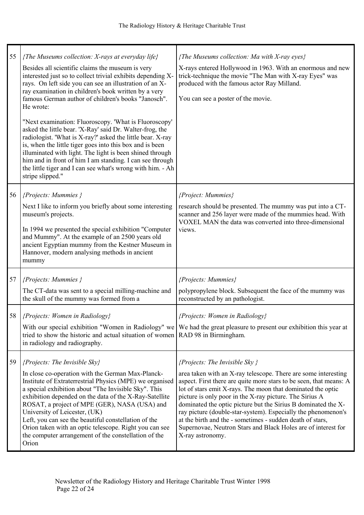| 55 | {The Museums collection: $X$ -rays at everyday life}<br>Besides all scientific claims the museum is very<br>interested just so to collect trivial exhibits depending X-<br>rays. On left side you can see an illustration of an X-<br>ray examination in children's book written by a very<br>famous German author of children's books "Janosch".<br>He wrote:<br>"Next examination: Fluoroscopy. 'What is Fluoroscopy'<br>asked the little bear. 'X-Ray' said Dr. Walter-frog, the<br>radiologist. 'What is X-ray?' asked the little bear. X-ray<br>is, when the little tiger goes into this box and is been<br>illuminated with light. The light is been shined through<br>him and in front of him I am standing. I can see through<br>the little tiger and I can see what's wrong with him. - Ah<br>stripe slipped." | {The Museums collection: Ma with X-ray eyes}<br>X-rays entered Hollywood in 1963. With an enormous and new<br>trick-technique the movie "The Man with X-ray Eyes" was<br>produced with the famous actor Ray Milland.<br>You can see a poster of the movie.                                                                                                                                                                                                                                                                                                                            |
|----|-------------------------------------------------------------------------------------------------------------------------------------------------------------------------------------------------------------------------------------------------------------------------------------------------------------------------------------------------------------------------------------------------------------------------------------------------------------------------------------------------------------------------------------------------------------------------------------------------------------------------------------------------------------------------------------------------------------------------------------------------------------------------------------------------------------------------|---------------------------------------------------------------------------------------------------------------------------------------------------------------------------------------------------------------------------------------------------------------------------------------------------------------------------------------------------------------------------------------------------------------------------------------------------------------------------------------------------------------------------------------------------------------------------------------|
| 56 | ${Propects: Mummies}$<br>Next I like to inform you briefly about some interesting<br>museum's projects.<br>In 1994 we presented the special exhibition "Computer"<br>and Mummy". At the example of an 2500 years old<br>ancient Egyptian mummy from the Kestner Museum in<br>Hannover, modern analysing methods in ancient<br>mummy                                                                                                                                                                                                                                                                                                                                                                                                                                                                                     | {Project: Mummies}<br>research should be presented. The mummy was put into a CT-<br>scanner and 256 layer were made of the mummies head. With<br>VOXEL MAN the data was converted into three-dimensional<br>views.                                                                                                                                                                                                                                                                                                                                                                    |
| 57 | ${Propects: Mummies}$<br>The CT-data was sent to a special milling-machine and<br>the skull of the mummy was formed from a                                                                                                                                                                                                                                                                                                                                                                                                                                                                                                                                                                                                                                                                                              | {Projects: Mummies}<br>polypropylene block. Subsequent the face of the mummy was<br>reconstructed by an pathologist.                                                                                                                                                                                                                                                                                                                                                                                                                                                                  |
| 58 | {Projects: Women in Radiology}<br>With our special exhibition "Women in Radiology" we<br>tried to show the historic and actual situation of women<br>in radiology and radiography.                                                                                                                                                                                                                                                                                                                                                                                                                                                                                                                                                                                                                                      | {Projects: Women in Radiology}<br>We had the great pleasure to present our exhibition this year at<br>RAD 98 in Birmingham.                                                                                                                                                                                                                                                                                                                                                                                                                                                           |
| 59 | ${Propects: The Invisible Sky}$<br>In close co-operation with the German Max-Planck-<br>Institute of Extraterrestrial Physics (MPE) we organised<br>a special exhibition about "The Invisible Sky". This<br>exhibition depended on the data of the X-Ray-Satellite<br>ROSAT, a project of MPE (GER), NASA (USA) and<br>University of Leicester, (UK)<br>Left, you can see the beautiful constellation of the<br>Orion taken with an optic telescope. Right you can see<br>the computer arrangement of the constellation of the<br>Orion                                                                                                                                                                                                                                                                                 | ${Propects: The Invisible Sky}$<br>area taken with an X-ray telescope. There are some interesting<br>aspect. First there are quite more stars to be seen, that means: A<br>lot of stars emit X-rays. The moon that dominated the optic<br>picture is only poor in the X-ray picture. The Sirius A<br>dominated the optic picture but the Sirius B dominated the X-<br>ray picture (double-star-system). Especially the phenomenon's<br>at the birth and the - sometimes - sudden death of stars,<br>Supernovae, Neutron Stars and Black Holes are of interest for<br>X-ray astronomy. |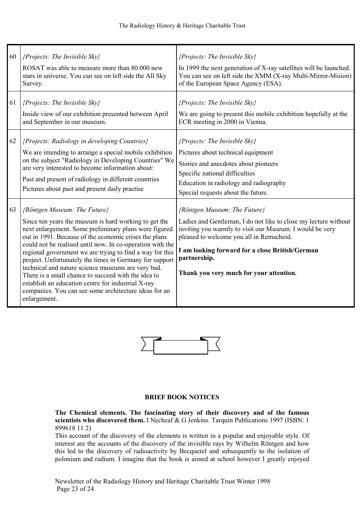| 60 | ${Propects: The Invisible Sky}$<br>ROSAT was able to measure more than 80,000 new<br>stars in universe. You can see on left side the All Sky<br>Survey.                                                                                                                                                                                                                                                                                                                                                                                                                                                                                 | {Projects: The Invisible Sky}<br>In 1999 the next generation of X-ray satellites will be launched.<br>You can see on left side the XMM (X-ray Multi-Mirror-Mision)<br>of the European Space Agency (ESA).                                                                                                             |
|----|-----------------------------------------------------------------------------------------------------------------------------------------------------------------------------------------------------------------------------------------------------------------------------------------------------------------------------------------------------------------------------------------------------------------------------------------------------------------------------------------------------------------------------------------------------------------------------------------------------------------------------------------|-----------------------------------------------------------------------------------------------------------------------------------------------------------------------------------------------------------------------------------------------------------------------------------------------------------------------|
| 61 | ${Properties: The Invisible Sky}$<br>Inside view of our exhibition presented between April<br>and September in our museum.                                                                                                                                                                                                                                                                                                                                                                                                                                                                                                              | ${Propects: The Invisible Sky}$<br>We are going to present this mobile exhibition hopefully at the<br>ECR meeting in 2000 in Vienna.                                                                                                                                                                                  |
| 62 | {Projects: Radiology in developing Countries}<br>We are intending to arrange a special mobile exhibition<br>on the subject "Radiology in Developing Countries" We<br>are very interested to become information about:<br>Past and present of radiology in different countries<br>Pictures about past and present daily practise                                                                                                                                                                                                                                                                                                         | {Projects: The Invisible Sky}<br>Pictures about technical equipment<br>Stories and anecdotes about pioneers<br>Specific national difficulties<br>Education in radiology and radiography<br>Special requests about the future.                                                                                         |
| 63 | {Röntgen Museum: The Future}<br>Since ten years the museum is hard working to get the<br>next enlargement. Some preliminary plans were figured<br>out in 1991. Because of the economic crises the plans<br>could not be realised until now. In co-operation with the<br>regional government we are trying to find a way for this<br>project. Unfortunately the times in Germany for support<br>technical and nature science museums are very bad.<br>There is a small chance to succeed with the idea to<br>establish an education centre for industrial X-ray<br>companies. You can see some architecture ideas for an<br>enlargement. | {Röntgen Museum: The Future}<br>Ladies and Gentleman, I do not like to close my lecture without<br>inviting you warmly to visit our Museum. I would be very<br>pleased to welcome you all in Remscheid.<br>I am looking forward for a close British/German<br>partnership.<br>Thank you very much for your attention. |



#### BRIEF BOOK OTICES

The Chemical elements. The fascinating story of their discovery and of the famous scientists who discovered them. I Necheaf & G Jenkins. Tarquin Publications 1997 (ISBN: 1) 899618 11 2)

This account of the discovery of the elements is written in a popular and enjoyable style. Of interest are the accounts of the discovery of the invisible rays by Wilhelm Röntgen and how this led to the discovery of radioactivity by Becquerel and subsequently to the isolation of polonium and radium. I imagine that the book is aimed at school however I greatly enjoyed